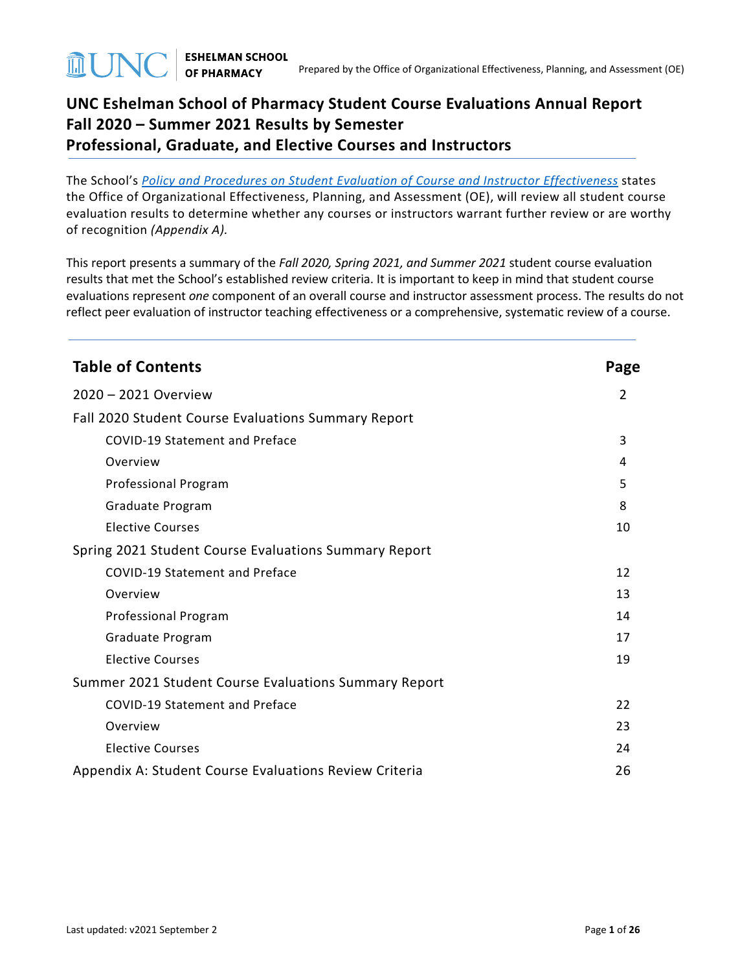# **UNC Eshelman School of Pharmacy Student Course Evaluations Annual Report Fall 2020 – Summer 2021 Results by Semester Professional, Graduate, and Elective Courses and Instructors**

The School's *[Policy and Procedures on Student Evaluation of Course and Instructor Effectiveness](https://pharmacy.unc.edu/files/2020/01/Course-Evaluation-Policy-and-Procedures-5-7-14_updates-v2019.10.22.pdf)* states the Office of Organizational Effectiveness, Planning, and Assessment (OE), will review all student course evaluation results to determine whether any courses or instructors warrant further review or are worthy of recognition *(Appendix A).*

This report presents a summary of the *Fall 2020, Spring 2021, and Summer 2021* student course evaluation results that met the School's established review criteria. It is important to keep in mind that student course evaluations represent *one* component of an overall course and instructor assessment process. The results do not reflect peer evaluation of instructor teaching effectiveness or a comprehensive, systematic review of a course.

| <b>Table of Contents</b>                               | Page |
|--------------------------------------------------------|------|
| 2020 - 2021 Overview                                   | 2    |
| Fall 2020 Student Course Evaluations Summary Report    |      |
| COVID-19 Statement and Preface                         | 3    |
| Overview                                               | 4    |
| Professional Program                                   | 5    |
| Graduate Program                                       | 8    |
| <b>Elective Courses</b>                                | 10   |
| Spring 2021 Student Course Evaluations Summary Report  |      |
| <b>COVID-19 Statement and Preface</b>                  | 12   |
| Overview                                               | 13   |
| <b>Professional Program</b>                            | 14   |
| Graduate Program                                       | 17   |
| <b>Elective Courses</b>                                | 19   |
| Summer 2021 Student Course Evaluations Summary Report  |      |
| <b>COVID-19 Statement and Preface</b>                  | 22   |
| Overview                                               | 23   |
| <b>Elective Courses</b>                                | 24   |
| Appendix A: Student Course Evaluations Review Criteria | 26   |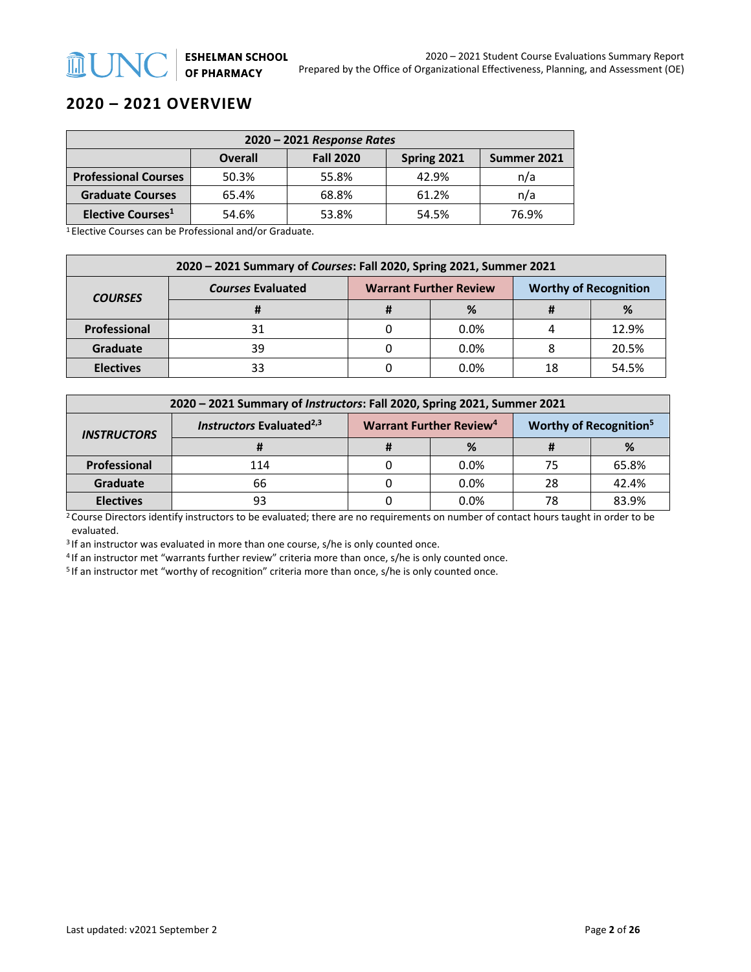## **2020 – 2021 OVERVIEW**

**MUNC** 

| $2020 - 2021$ Response Rates                                     |       |       |       |       |  |  |
|------------------------------------------------------------------|-------|-------|-------|-------|--|--|
| <b>Fall 2020</b><br><b>Overall</b><br>Spring 2021<br>Summer 2021 |       |       |       |       |  |  |
| <b>Professional Courses</b>                                      | 50.3% | 55.8% | 42.9% | n/a   |  |  |
| <b>Graduate Courses</b>                                          | 65.4% | 68.8% | 61.2% | n/a   |  |  |
| Elective Courses <sup>1</sup>                                    | 54.6% | 53.8% | 54.5% | 76.9% |  |  |

1 Elective Courses can be Professional and/or Graduate.

| 2020 - 2021 Summary of Courses: Fall 2020, Spring 2021, Summer 2021 |                          |                               |      |                              |       |  |
|---------------------------------------------------------------------|--------------------------|-------------------------------|------|------------------------------|-------|--|
| <b>COURSES</b>                                                      | <b>Courses Evaluated</b> | <b>Warrant Further Review</b> |      | <b>Worthy of Recognition</b> |       |  |
|                                                                     |                          |                               | %    |                              | %     |  |
| Professional                                                        |                          |                               | 0.0% |                              | 12.9% |  |
| <b>Graduate</b>                                                     | 39                       |                               | 0.0% |                              | 20.5% |  |
| <b>Electives</b>                                                    | 33                       |                               | 0.0% | 18                           | 54.5% |  |

| 2020 - 2021 Summary of Instructors: Fall 2020, Spring 2021, Summer 2021 |                                      |  |                                     |    |                                          |  |
|-------------------------------------------------------------------------|--------------------------------------|--|-------------------------------------|----|------------------------------------------|--|
| <b>INSTRUCTORS</b>                                                      | Instructors Evaluated <sup>2,3</sup> |  | Warrant Further Review <sup>4</sup> |    | <b>Worthy of Recognition<sup>5</sup></b> |  |
|                                                                         |                                      |  | %                                   |    | %                                        |  |
| Professional                                                            | 114                                  |  | $0.0\%$                             | 75 | 65.8%                                    |  |
| <b>Graduate</b>                                                         | 66                                   |  | 0.0%                                | 28 | 42.4%                                    |  |
| <b>Electives</b>                                                        | 93                                   |  | 0.0%                                | 78 | 83.9%                                    |  |

<sup>2</sup> Course Directors identify instructors to be evaluated; there are no requirements on number of contact hours taught in order to be evaluated.

<sup>3</sup> If an instructor was evaluated in more than one course, s/he is only counted once.

<sup>4</sup> If an instructor met "warrants further review" criteria more than once, s/he is only counted once.<br><sup>5</sup> If an instructor met "worthy of recognition" criteria more than once, s/he is only counted once.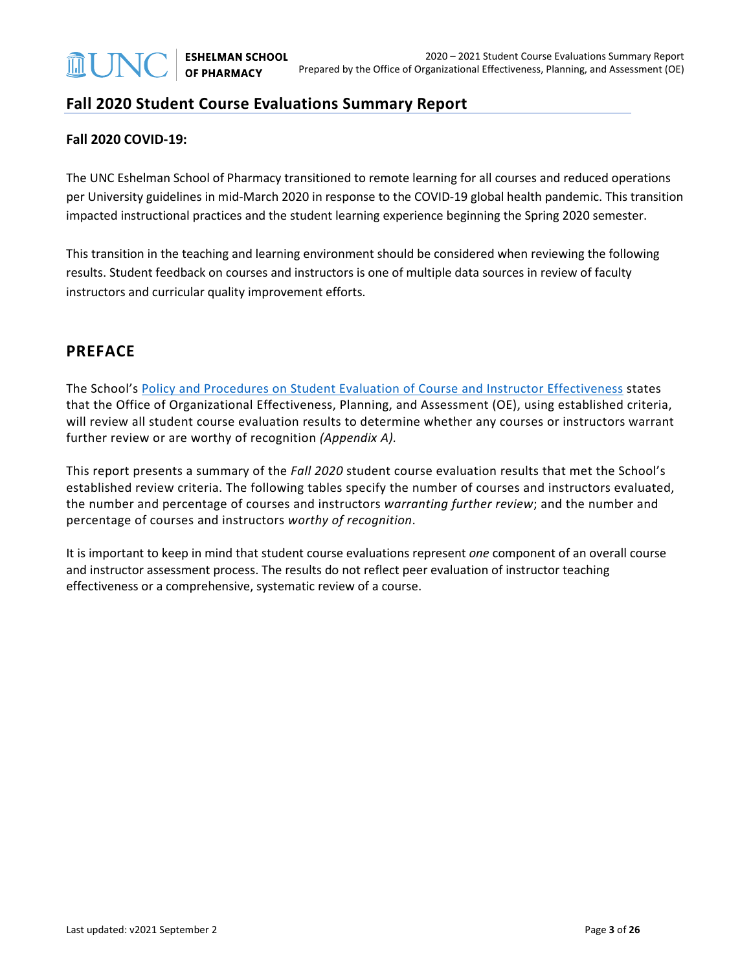## **Fall 2020 Student Course Evaluations Summary Report**

#### **Fall 2020 COVID-19:**

The UNC Eshelman School of Pharmacy transitioned to remote learning for all courses and reduced operations per University guidelines in mid-March 2020 in response to the COVID-19 global health pandemic. This transition impacted instructional practices and the student learning experience beginning the Spring 2020 semester.

This transition in the teaching and learning environment should be considered when reviewing the following results. Student feedback on courses and instructors is one of multiple data sources in review of faculty instructors and curricular quality improvement efforts.

### **PREFACE**

The School's [Policy and Procedures on Student Evaluation of Course and Instructor Effectiveness](https://pharmacy.unc.edu/wp-content/uploads/sites/1043/2021/01/Course-Evaluation-Policy-and-Procedures-5-7-14_updates-v2021.01.25.pdf) states that the Office of Organizational Effectiveness, Planning, and Assessment (OE), using established criteria, will review all student course evaluation results to determine whether any courses or instructors warrant further review or are worthy of recognition *(Appendix A).*

This report presents a summary of the *Fall 2020* student course evaluation results that met the School's established review criteria. The following tables specify the number of courses and instructors evaluated, the number and percentage of courses and instructors *warranting further review*; and the number and percentage of courses and instructors *worthy of recognition*.

It is important to keep in mind that student course evaluations represent *one* component of an overall course and instructor assessment process. The results do not reflect peer evaluation of instructor teaching effectiveness or a comprehensive, systematic review of a course.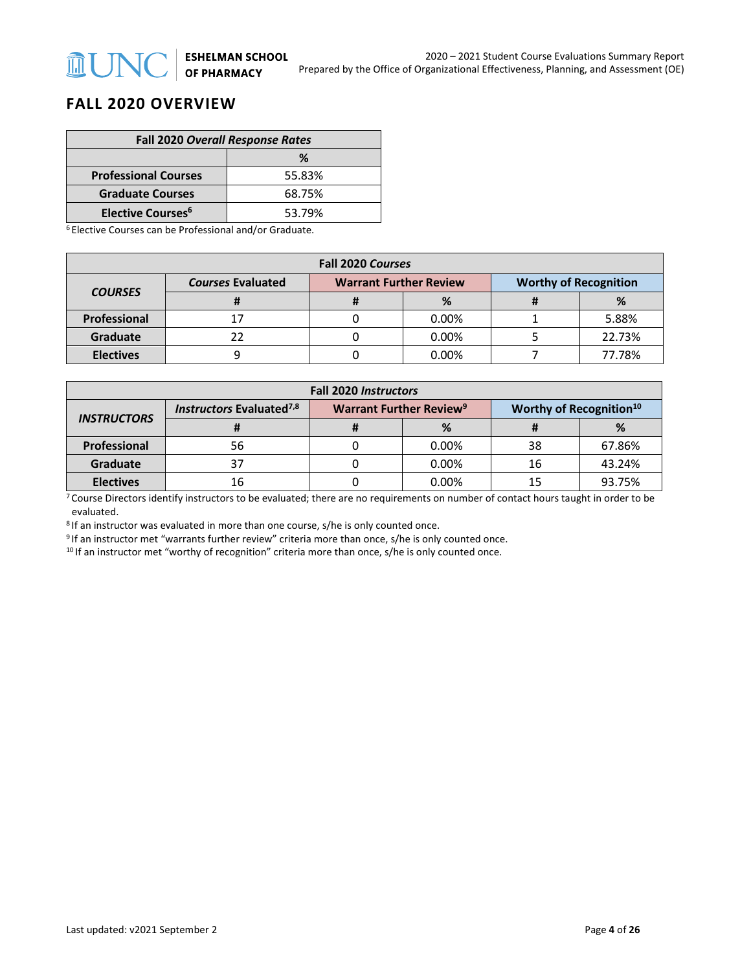## **FALL 2020 OVERVIEW**

**MUNC** 

| <b>Fall 2020 Overall Response Rates</b> |        |  |  |
|-----------------------------------------|--------|--|--|
| ℅                                       |        |  |  |
| <b>Professional Courses</b>             | 55.83% |  |  |
| <b>Graduate Courses</b>                 | 68.75% |  |  |
| <b>Elective Courses<sup>6</sup></b>     | 53.79% |  |  |

<sup>6</sup> Elective Courses can be Professional and/or Graduate.

| <b>Fall 2020 Courses</b> |                          |                                                               |          |  |        |  |
|--------------------------|--------------------------|---------------------------------------------------------------|----------|--|--------|--|
|                          | <b>Courses Evaluated</b> | <b>Warrant Further Review</b><br><b>Worthy of Recognition</b> |          |  |        |  |
| <b>COURSES</b>           |                          |                                                               | %        |  | ℅      |  |
| Professional             |                          |                                                               | 0.00%    |  | 5.88%  |  |
| <b>Graduate</b>          |                          |                                                               | 0.00%    |  | 22.73% |  |
| <b>Electives</b>         |                          |                                                               | $0.00\%$ |  | 77.78% |  |

| <b>Fall 2020 Instructors</b> |                                      |                                                                                  |          |    |        |  |
|------------------------------|--------------------------------------|----------------------------------------------------------------------------------|----------|----|--------|--|
| <b>INSTRUCTORS</b>           | Instructors Evaluated <sup>7,8</sup> | <b>Warrant Further Review<sup>9</sup></b><br>Worthy of Recognition <sup>10</sup> |          |    |        |  |
|                              |                                      |                                                                                  | %        |    | %      |  |
| Professional                 | 56                                   |                                                                                  | 0.00%    | 38 | 67.86% |  |
| Graduate                     |                                      |                                                                                  | 0.00%    | 16 | 43.24% |  |
| <b>Electives</b>             | 16                                   |                                                                                  | $0.00\%$ |    | 93.75% |  |

 $7$  Course Directors identify instructors to be evaluated; there are no requirements on number of contact hours taught in order to be evaluated.

<sup>8</sup> If an instructor was evaluated in more than one course, s/he is only counted once.

<sup>9</sup> If an instructor met "warrants further review" criteria more than once, s/he is only counted once.

<sup>10</sup> If an instructor met "worthy of recognition" criteria more than once, s/he is only counted once.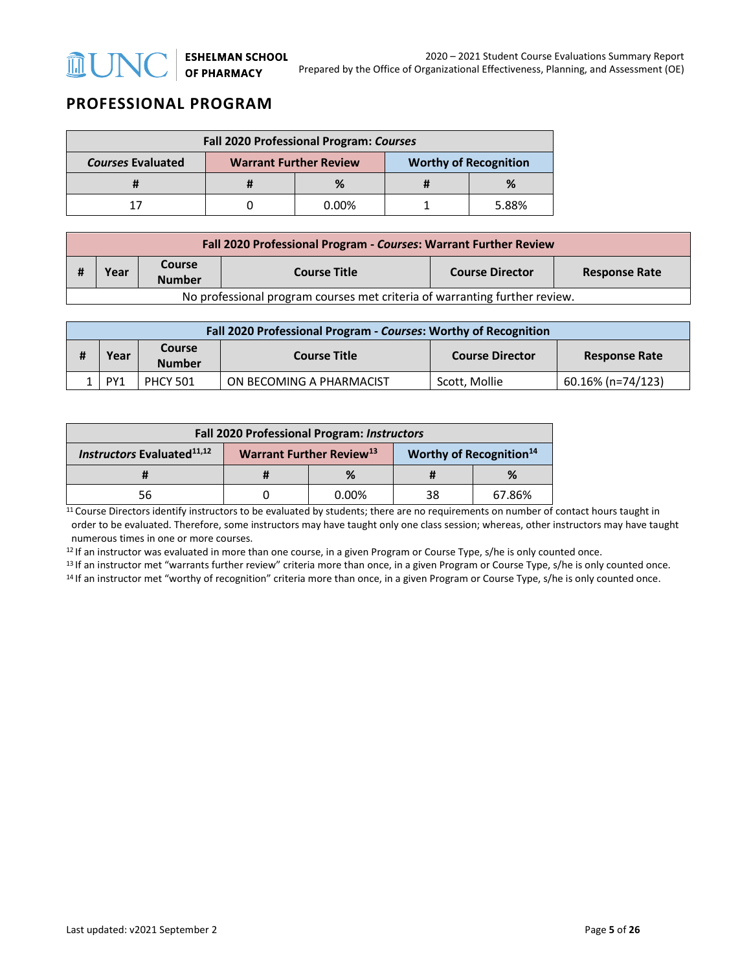

# **PROFESSIONAL PROGRAM**

| Fall 2020 Professional Program: Courses |                                                               |          |  |       |  |
|-----------------------------------------|---------------------------------------------------------------|----------|--|-------|--|
| <b>Courses Evaluated</b>                | <b>Worthy of Recognition</b><br><b>Warrant Further Review</b> |          |  |       |  |
|                                         |                                                               |          |  |       |  |
|                                         |                                                               | $0.00\%$ |  | 5.88% |  |

| Fall 2020 Professional Program - Courses: Warrant Further Review           |      |                         |                     |                        |                      |  |
|----------------------------------------------------------------------------|------|-------------------------|---------------------|------------------------|----------------------|--|
|                                                                            | Year | Course<br><b>Number</b> | <b>Course Title</b> | <b>Course Director</b> | <b>Response Rate</b> |  |
| No professional program courses met criteria of warranting further review. |      |                         |                     |                        |                      |  |

| Fall 2020 Professional Program - Courses: Worthy of Recognition |                 |                     |                          |                      |                   |  |
|-----------------------------------------------------------------|-----------------|---------------------|--------------------------|----------------------|-------------------|--|
| <b>Course</b><br>Year<br><b>Number</b>                          |                 | <b>Course Title</b> | <b>Course Director</b>   | <b>Response Rate</b> |                   |  |
|                                                                 | PY <sub>1</sub> | <b>PHCY 501</b>     | ON BECOMING A PHARMACIST | Scott. Mollie        | 60.16% (n=74/123) |  |

| Fall 2020 Professional Program: Instructors   |                                                                                    |          |    |        |  |
|-----------------------------------------------|------------------------------------------------------------------------------------|----------|----|--------|--|
| <b>Instructors Evaluated</b> <sup>11,12</sup> | <b>Worthy of Recognition</b> <sup>14</sup><br>Warrant Further Review <sup>13</sup> |          |    |        |  |
|                                               |                                                                                    | %        |    | %      |  |
| 56                                            |                                                                                    | $0.00\%$ | 38 | 67.86% |  |

<sup>11</sup> Course Directors identify instructors to be evaluated by students; there are no requirements on number of contact hours taught in order to be evaluated. Therefore, some instructors may have taught only one class session; whereas, other instructors may have taught numerous times in one or more courses.

<sup>12</sup> If an instructor was evaluated in more than one course, in a given Program or Course Type, s/he is only counted once.<br><sup>13</sup> If an instructor met "warrants further review" criteria more than once, in a given Program or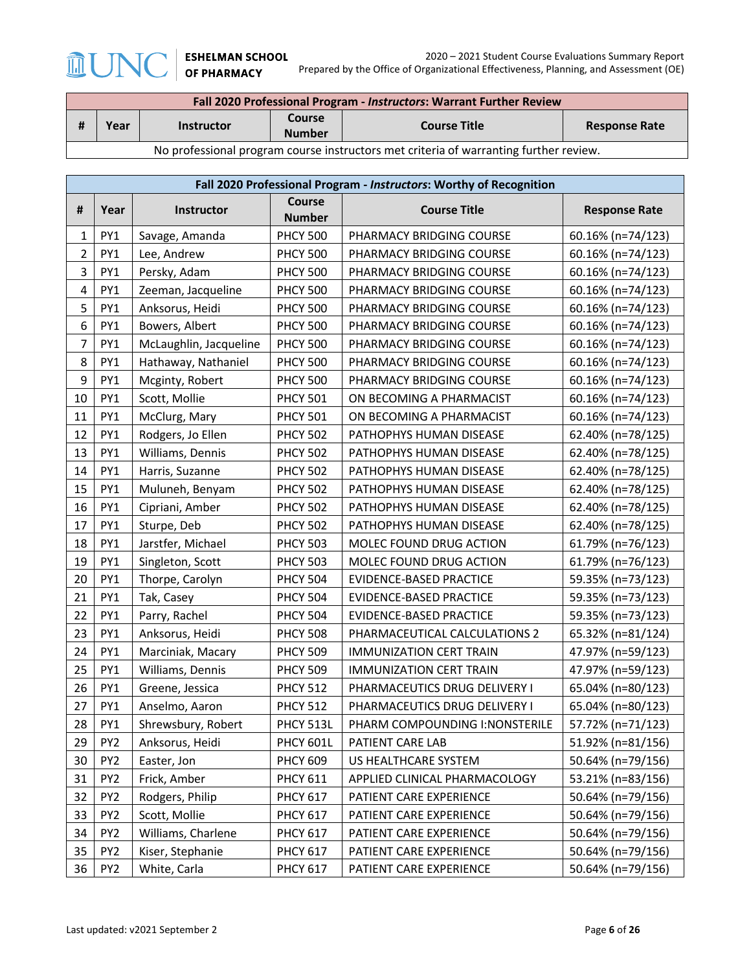**MUNC** 

| Fall 2020 Professional Program - Instructors: Warrant Further Review                  |      |                   |                         |                     |                      |  |
|---------------------------------------------------------------------------------------|------|-------------------|-------------------------|---------------------|----------------------|--|
|                                                                                       | Year | <b>Instructor</b> | Course<br><b>Number</b> | <b>Course Title</b> | <b>Response Rate</b> |  |
| No professional program course instructors met criteria of warranting further review. |      |                   |                         |                     |                      |  |

|                  | Fall 2020 Professional Program - Instructors: Worthy of Recognition |                        |                         |                                 |                      |  |  |
|------------------|---------------------------------------------------------------------|------------------------|-------------------------|---------------------------------|----------------------|--|--|
| #                | Year                                                                | Instructor             | Course<br><b>Number</b> | <b>Course Title</b>             | <b>Response Rate</b> |  |  |
| 1                | PY <sub>1</sub>                                                     | Savage, Amanda         | <b>PHCY 500</b>         | PHARMACY BRIDGING COURSE        | 60.16% (n=74/123)    |  |  |
| $\overline{2}$   | PY1                                                                 | Lee, Andrew            | <b>PHCY 500</b>         | PHARMACY BRIDGING COURSE        | 60.16% (n=74/123)    |  |  |
| 3                | PY1<br>Persky, Adam                                                 |                        | <b>PHCY 500</b>         | PHARMACY BRIDGING COURSE        | 60.16% (n=74/123)    |  |  |
| $\overline{4}$   | PY1                                                                 | Zeeman, Jacqueline     | <b>PHCY 500</b>         | PHARMACY BRIDGING COURSE        | 60.16% (n=74/123)    |  |  |
| 5                | PY1                                                                 | Anksorus, Heidi        | <b>PHCY 500</b>         | PHARMACY BRIDGING COURSE        | 60.16% (n=74/123)    |  |  |
| $\boldsymbol{6}$ | PY1                                                                 | Bowers, Albert         | <b>PHCY 500</b>         | PHARMACY BRIDGING COURSE        | 60.16% (n=74/123)    |  |  |
| $\overline{7}$   | PY1                                                                 | McLaughlin, Jacqueline | <b>PHCY 500</b>         | PHARMACY BRIDGING COURSE        | 60.16% (n=74/123)    |  |  |
| 8                | PY1                                                                 | Hathaway, Nathaniel    | <b>PHCY 500</b>         | PHARMACY BRIDGING COURSE        | 60.16% (n=74/123)    |  |  |
| 9                | PY1                                                                 | Mcginty, Robert        | <b>PHCY 500</b>         | PHARMACY BRIDGING COURSE        | 60.16% (n=74/123)    |  |  |
| 10               | PY1                                                                 | Scott, Mollie          | <b>PHCY 501</b>         | ON BECOMING A PHARMACIST        | 60.16% (n=74/123)    |  |  |
| 11               | PY1                                                                 | McClurg, Mary          | <b>PHCY 501</b>         | ON BECOMING A PHARMACIST        | 60.16% (n=74/123)    |  |  |
| 12               | PY1                                                                 | Rodgers, Jo Ellen      | <b>PHCY 502</b>         | PATHOPHYS HUMAN DISEASE         | 62.40% (n=78/125)    |  |  |
| 13               | PY1                                                                 | Williams, Dennis       | <b>PHCY 502</b>         | PATHOPHYS HUMAN DISEASE         | 62.40% (n=78/125)    |  |  |
| 14               | PY1                                                                 | Harris, Suzanne        | <b>PHCY 502</b>         | PATHOPHYS HUMAN DISEASE         | 62.40% (n=78/125)    |  |  |
| 15               | PY1                                                                 | Muluneh, Benyam        | <b>PHCY 502</b>         | PATHOPHYS HUMAN DISEASE         | 62.40% (n=78/125)    |  |  |
| 16               | PY1                                                                 | Cipriani, Amber        | <b>PHCY 502</b>         | PATHOPHYS HUMAN DISEASE         | 62.40% (n=78/125)    |  |  |
| 17               | PY1                                                                 | Sturpe, Deb            | <b>PHCY 502</b>         | PATHOPHYS HUMAN DISEASE         | 62.40% (n=78/125)    |  |  |
| 18               | PY1                                                                 | Jarstfer, Michael      | <b>PHCY 503</b>         | MOLEC FOUND DRUG ACTION         | 61.79% (n=76/123)    |  |  |
| 19               | PY1                                                                 | Singleton, Scott       | <b>PHCY 503</b>         | MOLEC FOUND DRUG ACTION         | 61.79% (n=76/123)    |  |  |
| 20               | PY1                                                                 | Thorpe, Carolyn        | <b>PHCY 504</b>         | EVIDENCE-BASED PRACTICE         | 59.35% (n=73/123)    |  |  |
| 21               | PY1                                                                 | Tak, Casey             | <b>PHCY 504</b>         | EVIDENCE-BASED PRACTICE         | 59.35% (n=73/123)    |  |  |
| 22               | PY1                                                                 | Parry, Rachel          | <b>PHCY 504</b>         | EVIDENCE-BASED PRACTICE         | 59.35% (n=73/123)    |  |  |
| 23               | PY1                                                                 | Anksorus, Heidi        | <b>PHCY 508</b>         | PHARMACEUTICAL CALCULATIONS 2   | 65.32% (n=81/124)    |  |  |
| 24               | PY1                                                                 | Marciniak, Macary      | <b>PHCY 509</b>         | <b>IMMUNIZATION CERT TRAIN</b>  | 47.97% (n=59/123)    |  |  |
| 25               | PY <sub>1</sub>                                                     | Williams, Dennis       | <b>PHCY 509</b>         | <b>IMMUNIZATION CERT TRAIN</b>  | 47.97% (n=59/123)    |  |  |
| 26               | PY1                                                                 | Greene, Jessica        | <b>PHCY 512</b>         | PHARMACEUTICS DRUG DELIVERY I   | 65.04% (n=80/123)    |  |  |
| 27               | PY1                                                                 | Anselmo, Aaron         | <b>PHCY 512</b>         | PHARMACEUTICS DRUG DELIVERY I   | 65.04% (n=80/123)    |  |  |
| 28               | PY1                                                                 | Shrewsbury, Robert     | PHCY 513L               | PHARM COMPOUNDING I: NONSTERILE | 57.72% (n=71/123)    |  |  |
| 29               | PY <sub>2</sub>                                                     | Anksorus, Heidi        | PHCY 601L               | PATIENT CARE LAB                | 51.92% (n=81/156)    |  |  |
| 30               | PY <sub>2</sub>                                                     | Easter, Jon            | <b>PHCY 609</b>         | US HEALTHCARE SYSTEM            | 50.64% (n=79/156)    |  |  |
| 31               | PY <sub>2</sub>                                                     | Frick, Amber           | <b>PHCY 611</b>         | APPLIED CLINICAL PHARMACOLOGY   | 53.21% (n=83/156)    |  |  |
| 32               | PY <sub>2</sub>                                                     | Rodgers, Philip        | <b>PHCY 617</b>         | PATIENT CARE EXPERIENCE         | 50.64% (n=79/156)    |  |  |
| 33               | PY <sub>2</sub>                                                     | Scott, Mollie          | <b>PHCY 617</b>         | PATIENT CARE EXPERIENCE         | 50.64% (n=79/156)    |  |  |
| 34               | PY <sub>2</sub>                                                     | Williams, Charlene     | <b>PHCY 617</b>         | PATIENT CARE EXPERIENCE         | 50.64% (n=79/156)    |  |  |
| 35               | PY <sub>2</sub>                                                     | Kiser, Stephanie       | <b>PHCY 617</b>         | PATIENT CARE EXPERIENCE         | 50.64% (n=79/156)    |  |  |
| 36               | PY <sub>2</sub>                                                     | White, Carla           | <b>PHCY 617</b>         | PATIENT CARE EXPERIENCE         | 50.64% (n=79/156)    |  |  |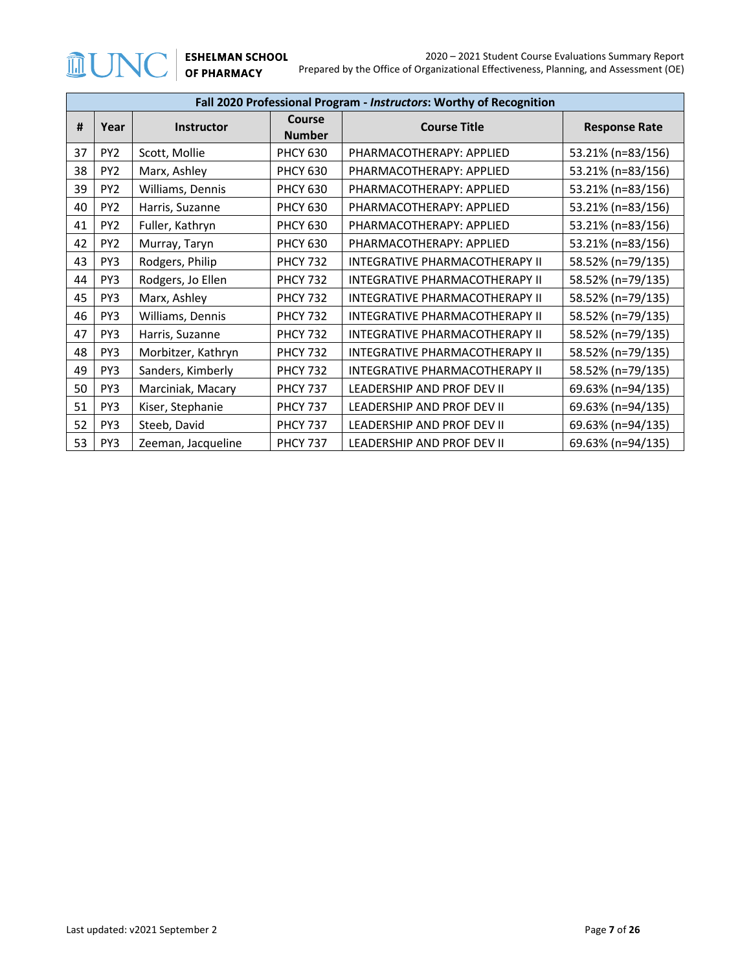|    | Fall 2020 Professional Program - Instructors: Worthy of Recognition      |                    |                         |                                       |                      |  |  |
|----|--------------------------------------------------------------------------|--------------------|-------------------------|---------------------------------------|----------------------|--|--|
| #  | Year                                                                     | <b>Instructor</b>  | Course<br><b>Number</b> | <b>Course Title</b>                   | <b>Response Rate</b> |  |  |
| 37 | PY <sub>2</sub>                                                          | Scott, Mollie      | <b>PHCY 630</b>         | PHARMACOTHERAPY: APPLIED              | 53.21% (n=83/156)    |  |  |
| 38 | PY <sub>2</sub>                                                          | Marx, Ashley       | <b>PHCY 630</b>         | PHARMACOTHERAPY: APPLIED              | 53.21% (n=83/156)    |  |  |
| 39 | PY <sub>2</sub>                                                          | Williams, Dennis   | <b>PHCY 630</b>         | PHARMACOTHERAPY: APPLIED              | 53.21% (n=83/156)    |  |  |
| 40 | PY <sub>2</sub>                                                          | Harris, Suzanne    | <b>PHCY 630</b>         | PHARMACOTHERAPY: APPLIED              | 53.21% (n=83/156)    |  |  |
| 41 | PY <sub>2</sub>                                                          | Fuller, Kathryn    | <b>PHCY 630</b>         | PHARMACOTHERAPY: APPLIED              | 53.21% (n=83/156)    |  |  |
| 42 | PY <sub>2</sub><br>Murray, Taryn                                         |                    | <b>PHCY 630</b>         | PHARMACOTHERAPY: APPLIED              | 53.21% (n=83/156)    |  |  |
| 43 | Rodgers, Philip<br>PY3                                                   |                    | <b>PHCY 732</b>         | INTEGRATIVE PHARMACOTHERAPY II        | 58.52% (n=79/135)    |  |  |
| 44 | PY <sub>3</sub>                                                          | Rodgers, Jo Ellen  | <b>PHCY 732</b>         | <b>INTEGRATIVE PHARMACOTHERAPY II</b> | 58.52% (n=79/135)    |  |  |
| 45 | PY3                                                                      | Marx, Ashley       | <b>PHCY 732</b>         | INTEGRATIVE PHARMACOTHERAPY II        | 58.52% (n=79/135)    |  |  |
| 46 | PY3                                                                      | Williams, Dennis   | <b>PHCY 732</b>         | <b>INTEGRATIVE PHARMACOTHERAPY II</b> | 58.52% (n=79/135)    |  |  |
| 47 | PY3                                                                      | Harris, Suzanne    | <b>PHCY 732</b>         | INTEGRATIVE PHARMACOTHERAPY II        | 58.52% (n=79/135)    |  |  |
| 48 | PY <sub>3</sub>                                                          | Morbitzer, Kathryn | <b>PHCY 732</b>         | <b>INTEGRATIVE PHARMACOTHERAPY II</b> | 58.52% (n=79/135)    |  |  |
| 49 | PY3                                                                      | Sanders, Kimberly  | <b>PHCY 732</b>         | INTEGRATIVE PHARMACOTHERAPY II        | 58.52% (n=79/135)    |  |  |
| 50 | PY3                                                                      | Marciniak, Macary  | <b>PHCY 737</b>         | LEADERSHIP AND PROF DEV II            | 69.63% (n=94/135)    |  |  |
| 51 | Kiser, Stephanie<br>PY3<br><b>PHCY 737</b><br>LEADERSHIP AND PROF DEV II |                    |                         | 69.63% (n=94/135)                     |                      |  |  |
| 52 | PY <sub>3</sub>                                                          | Steeb, David       | <b>PHCY 737</b>         | LEADERSHIP AND PROF DEV II            | 69.63% (n=94/135)    |  |  |
| 53 | PY3                                                                      | Zeeman, Jacqueline | <b>PHCY 737</b>         | LEADERSHIP AND PROF DEV II            | 69.63% (n=94/135)    |  |  |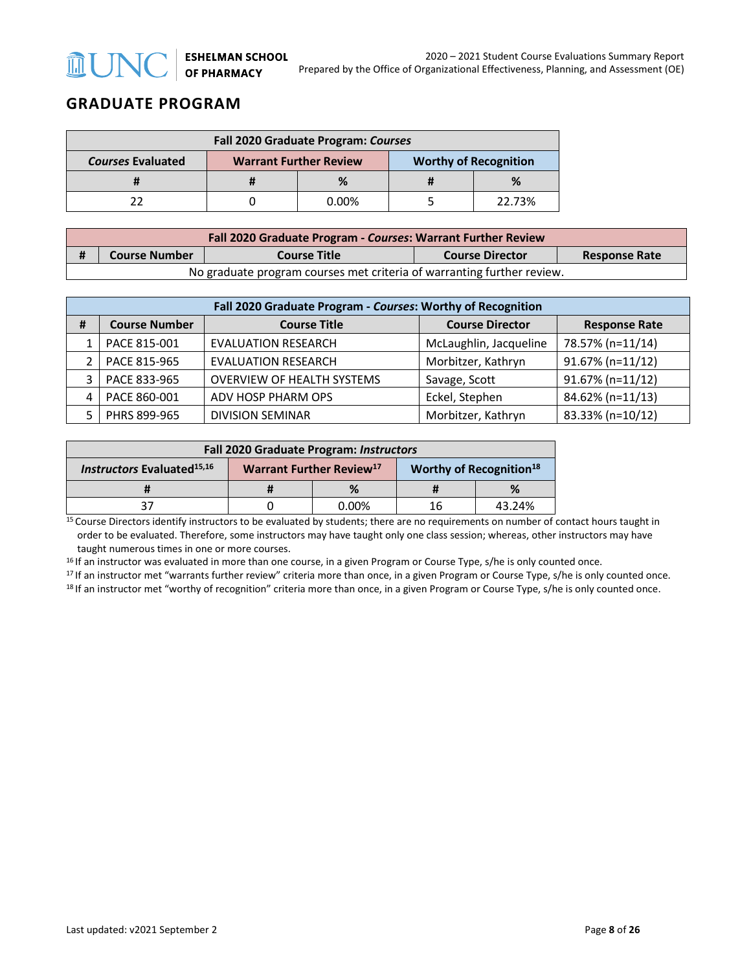# **GRADUATE PROGRAM**

| <b>Fall 2020 Graduate Program: Courses</b> |  |                               |                              |        |  |  |
|--------------------------------------------|--|-------------------------------|------------------------------|--------|--|--|
| <b>Courses Evaluated</b>                   |  | <b>Warrant Further Review</b> | <b>Worthy of Recognition</b> |        |  |  |
|                                            |  |                               |                              | %      |  |  |
|                                            |  | 0.00%                         |                              | 22.73% |  |  |

| Fall 2020 Graduate Program - Courses: Warrant Further Review |                                                                        |                     |                        |                      |  |  |
|--------------------------------------------------------------|------------------------------------------------------------------------|---------------------|------------------------|----------------------|--|--|
|                                                              | <b>Course Number</b>                                                   | <b>Course Title</b> | <b>Course Director</b> | <b>Response Rate</b> |  |  |
|                                                              | No graduate program courses met criteria of warranting further review. |                     |                        |                      |  |  |

|                                                  | Fall 2020 Graduate Program - Courses: Worthy of Recognition |                                   |                        |                  |  |  |  |
|--------------------------------------------------|-------------------------------------------------------------|-----------------------------------|------------------------|------------------|--|--|--|
| <b>Course Number</b><br>#<br><b>Course Title</b> |                                                             | <b>Course Director</b>            | <b>Response Rate</b>   |                  |  |  |  |
|                                                  | PACE 815-001                                                | <b>EVALUATION RESEARCH</b>        | McLaughlin, Jacqueline | 78.57% (n=11/14) |  |  |  |
|                                                  | PACE 815-965                                                | <b>EVALUATION RESEARCH</b>        | Morbitzer, Kathryn     | 91.67% (n=11/12) |  |  |  |
|                                                  | PACE 833-965                                                | <b>OVERVIEW OF HEALTH SYSTEMS</b> | Savage, Scott          | 91.67% (n=11/12) |  |  |  |
|                                                  | PACE 860-001                                                | ADV HOSP PHARM OPS                | Eckel, Stephen         | 84.62% (n=11/13) |  |  |  |
|                                                  | PHRS 899-965                                                | <b>DIVISION SEMINAR</b>           | Morbitzer, Kathryn     | 83.33% (n=10/12) |  |  |  |

| <b>Fall 2020 Graduate Program: Instructors</b> |  |                                      |                                     |        |  |
|------------------------------------------------|--|--------------------------------------|-------------------------------------|--------|--|
| <b>Instructors Evaluated</b> <sup>15,16</sup>  |  | Warrant Further Review <sup>17</sup> | Worthy of Recognition <sup>18</sup> |        |  |
|                                                |  | %                                    |                                     | $\%$   |  |
|                                                |  | $0.00\%$                             | 16                                  | 43.24% |  |

<sup>15</sup> Course Directors identify instructors to be evaluated by students; there are no requirements on number of contact hours taught in order to be evaluated. Therefore, some instructors may have taught only one class session; whereas, other instructors may have taught numerous times in one or more courses.

<sup>16</sup> If an instructor was evaluated in more than one course, in a given Program or Course Type, s/he is only counted once.<br><sup>17</sup> If an instructor met "warrants further review" criteria more than once, in a given Program or

<sup>18</sup> If an instructor met "worthy of recognition" criteria more than once, in a given Program or Course Type, s/he is only counted once.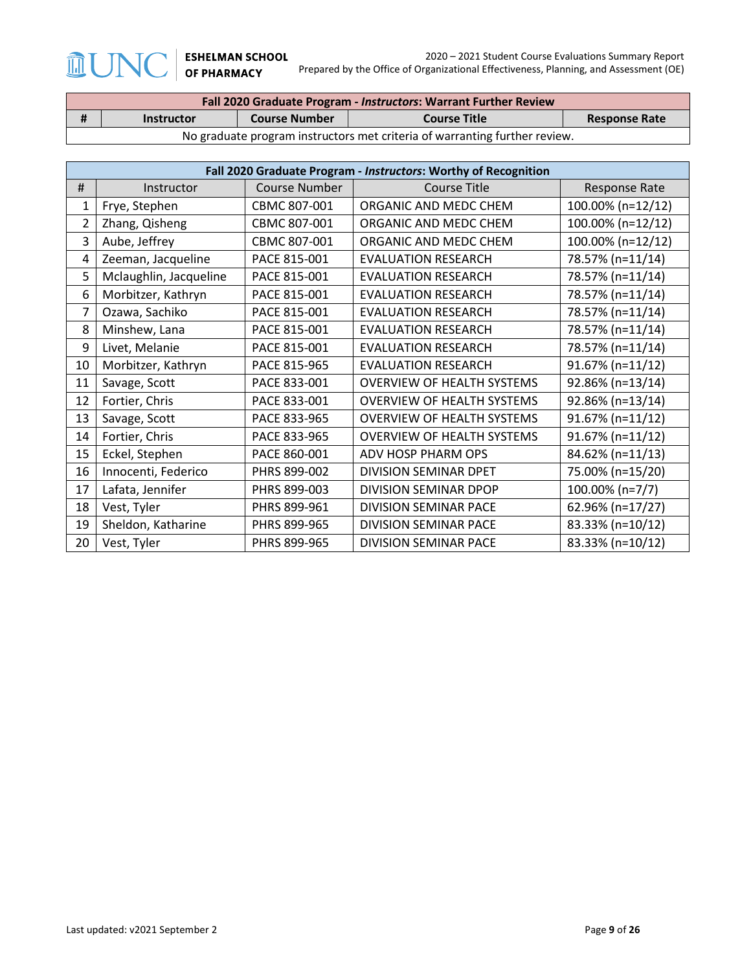$\sqrt{2}$ 

**血UN** 

| Fall 2020 Graduate Program - Instructors: Warrant Further Review |                                                                            |                      |                     |                      |  |  |
|------------------------------------------------------------------|----------------------------------------------------------------------------|----------------------|---------------------|----------------------|--|--|
|                                                                  | <b>Instructor</b>                                                          | <b>Course Number</b> | <b>Course Title</b> | <b>Response Rate</b> |  |  |
|                                                                  | No graduate program instructors met criteria of warranting further review. |                      |                     |                      |  |  |

|    | Fall 2020 Graduate Program - Instructors: Worthy of Recognition |               |                                   |                   |  |  |
|----|-----------------------------------------------------------------|---------------|-----------------------------------|-------------------|--|--|
| #  | Instructor                                                      | Course Number | <b>Course Title</b>               | Response Rate     |  |  |
| 1  | Frye, Stephen                                                   | CBMC 807-001  | ORGANIC AND MEDC CHEM             | 100.00% (n=12/12) |  |  |
| 2  | Zhang, Qisheng                                                  | CBMC 807-001  | ORGANIC AND MEDC CHEM             | 100.00% (n=12/12) |  |  |
| 3  | Aube, Jeffrey                                                   | CBMC 807-001  | ORGANIC AND MEDC CHEM             | 100.00% (n=12/12) |  |  |
| 4  | Zeeman, Jacqueline                                              | PACE 815-001  | <b>EVALUATION RESEARCH</b>        | 78.57% (n=11/14)  |  |  |
| 5  | Mclaughlin, Jacqueline                                          | PACE 815-001  | <b>EVALUATION RESEARCH</b>        | 78.57% (n=11/14)  |  |  |
| 6  | Morbitzer, Kathryn                                              | PACE 815-001  | <b>EVALUATION RESEARCH</b>        | 78.57% (n=11/14)  |  |  |
| 7  | Ozawa, Sachiko                                                  | PACE 815-001  | <b>EVALUATION RESEARCH</b>        | 78.57% (n=11/14)  |  |  |
| 8  | Minshew, Lana                                                   | PACE 815-001  | <b>EVALUATION RESEARCH</b>        | 78.57% (n=11/14)  |  |  |
| 9  | Livet, Melanie                                                  | PACE 815-001  | <b>EVALUATION RESEARCH</b>        | 78.57% (n=11/14)  |  |  |
| 10 | Morbitzer, Kathryn                                              | PACE 815-965  | <b>EVALUATION RESEARCH</b>        | 91.67% (n=11/12)  |  |  |
| 11 | Savage, Scott                                                   | PACE 833-001  | <b>OVERVIEW OF HEALTH SYSTEMS</b> | 92.86% (n=13/14)  |  |  |
| 12 | Fortier, Chris                                                  | PACE 833-001  | <b>OVERVIEW OF HEALTH SYSTEMS</b> | 92.86% (n=13/14)  |  |  |
| 13 | Savage, Scott                                                   | PACE 833-965  | <b>OVERVIEW OF HEALTH SYSTEMS</b> | 91.67% (n=11/12)  |  |  |
| 14 | Fortier, Chris                                                  | PACE 833-965  | <b>OVERVIEW OF HEALTH SYSTEMS</b> | 91.67% (n=11/12)  |  |  |
| 15 | Eckel, Stephen                                                  | PACE 860-001  | ADV HOSP PHARM OPS                | 84.62% (n=11/13)  |  |  |
| 16 | Innocenti, Federico                                             | PHRS 899-002  | DIVISION SEMINAR DPET             | 75.00% (n=15/20)  |  |  |
| 17 | Lafata, Jennifer                                                | PHRS 899-003  | DIVISION SEMINAR DPOP             | 100.00% (n=7/7)   |  |  |
| 18 | Vest, Tyler                                                     | PHRS 899-961  | <b>DIVISION SEMINAR PACE</b>      | 62.96% (n=17/27)  |  |  |
| 19 | Sheldon, Katharine                                              | PHRS 899-965  | DIVISION SEMINAR PACE             | 83.33% (n=10/12)  |  |  |
| 20 | Vest, Tyler                                                     | PHRS 899-965  | <b>DIVISION SEMINAR PACE</b>      | 83.33% (n=10/12)  |  |  |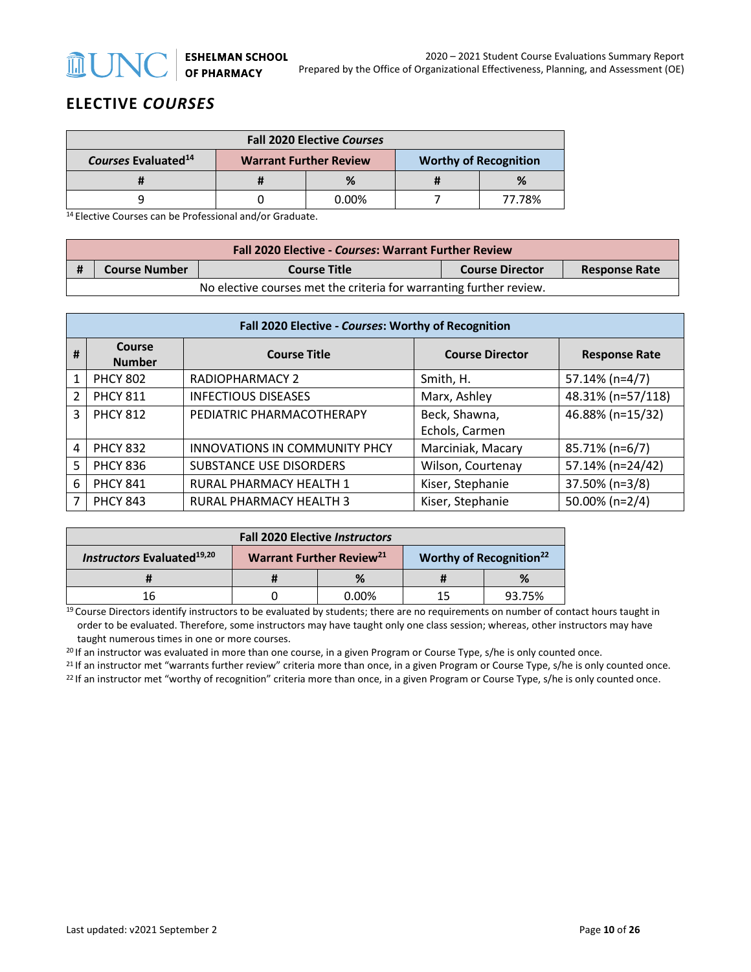

## **ELECTIVE** *COURSES*

| <b>Fall 2020 Elective Courses</b> |  |                               |  |                              |  |
|-----------------------------------|--|-------------------------------|--|------------------------------|--|
| Courses Evaluated <sup>14</sup>   |  | <b>Warrant Further Review</b> |  | <b>Worthy of Recognition</b> |  |
|                                   |  |                               |  |                              |  |
|                                   |  | ი იი%                         |  | 77.78%                       |  |

14 Elective Courses can be Professional and/or Graduate.

| <b>Fall 2020 Elective - Courses: Warrant Further Review</b>         |                      |                     |                        |                      |  |  |
|---------------------------------------------------------------------|----------------------|---------------------|------------------------|----------------------|--|--|
|                                                                     | <b>Course Number</b> | <b>Course Title</b> | <b>Course Director</b> | <b>Response Rate</b> |  |  |
| No elective courses met the criteria for warranting further review. |                      |                     |                        |                      |  |  |

|               | Fall 2020 Elective - Courses: Worthy of Recognition |                                      |                        |                      |  |  |  |
|---------------|-----------------------------------------------------|--------------------------------------|------------------------|----------------------|--|--|--|
| #             | Course<br><b>Number</b>                             | <b>Course Title</b>                  | <b>Course Director</b> | <b>Response Rate</b> |  |  |  |
| 1             | <b>PHCY 802</b>                                     | <b>RADIOPHARMACY 2</b>               | Smith, H.              | 57.14% (n=4/7)       |  |  |  |
| $\mathcal{P}$ | <b>PHCY 811</b>                                     | <b>INFECTIOUS DISEASES</b>           | Marx, Ashley           | 48.31% (n=57/118)    |  |  |  |
| 3             | <b>PHCY 812</b>                                     | PEDIATRIC PHARMACOTHERAPY            | Beck, Shawna,          | 46.88% (n=15/32)     |  |  |  |
|               |                                                     |                                      | Echols, Carmen         |                      |  |  |  |
| 4             | <b>PHCY 832</b>                                     | <b>INNOVATIONS IN COMMUNITY PHCY</b> | Marciniak, Macary      | 85.71% (n=6/7)       |  |  |  |
| 5             | <b>PHCY 836</b>                                     | <b>SUBSTANCE USE DISORDERS</b>       | Wilson, Courtenay      | 57.14% (n=24/42)     |  |  |  |
| 6             | <b>PHCY 841</b>                                     | RURAL PHARMACY HEALTH 1              | Kiser, Stephanie       | 37.50% (n=3/8)       |  |  |  |
| 7             | <b>PHCY 843</b>                                     | <b>RURAL PHARMACY HEALTH 3</b>       | Kiser, Stephanie       | 50.00% (n=2/4)       |  |  |  |

| <b>Fall 2020 Elective Instructors</b>         |  |                                      |                                     |        |  |
|-----------------------------------------------|--|--------------------------------------|-------------------------------------|--------|--|
| <b>Instructors Evaluated</b> <sup>19,20</sup> |  | Warrant Further Review <sup>21</sup> | Worthy of Recognition <sup>22</sup> |        |  |
|                                               |  |                                      |                                     |        |  |
| 16                                            |  | $0.00\%$                             | 15                                  | 93.75% |  |

<sup>19</sup> Course Directors identify instructors to be evaluated by students; there are no requirements on number of contact hours taught in order to be evaluated. Therefore, some instructors may have taught only one class session; whereas, other instructors may have taught numerous times in one or more courses.

<sup>20</sup> If an instructor was evaluated in more than one course, in a given Program or Course Type, s/he is only counted once.

 $^{21}$  If an instructor met "warrants further review" criteria more than once, in a given Program or Course Type, s/he is only counted once.<br><sup>22</sup> If an instructor met "worthy of recognition" criteria more than once, in a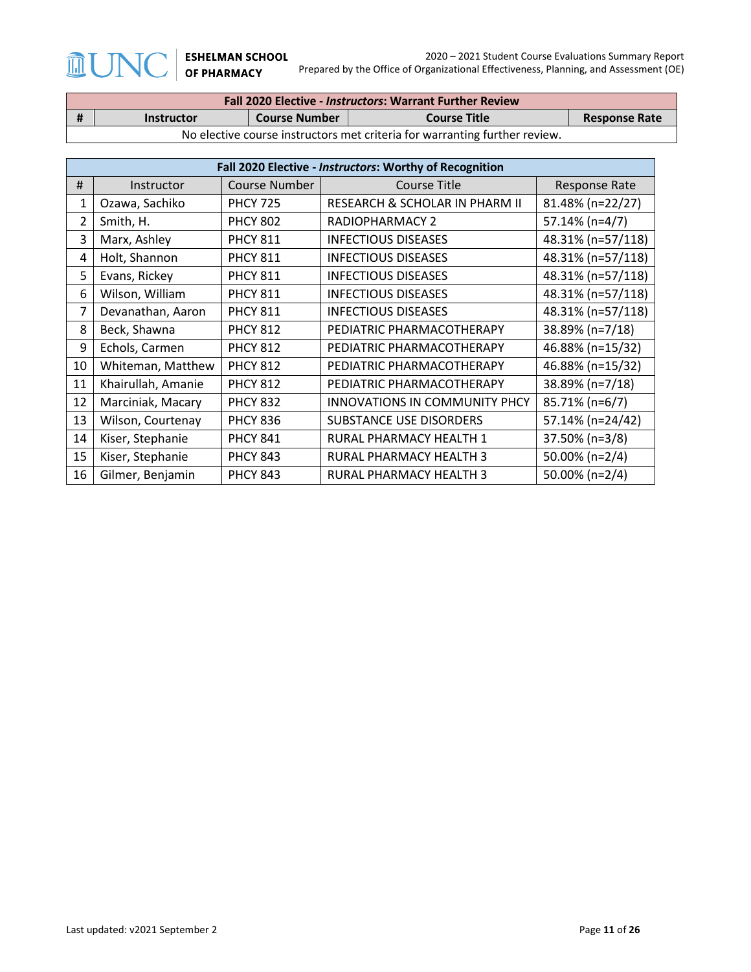$\int \! \! \! \Gamma$ 

 $\sqrt{}$ 

 $\widehat{\mathbb{H}}$ 

| <b>Fall 2020 Elective - Instructors: Warrant Further Review</b> |                                                                                          |  |  |  |  |  |
|-----------------------------------------------------------------|------------------------------------------------------------------------------------------|--|--|--|--|--|
| #                                                               | <b>Course Number</b><br><b>Course Title</b><br><b>Response Rate</b><br><b>Instructor</b> |  |  |  |  |  |
|                                                                 | No elective course instructors met criteria for warranting further review.               |  |  |  |  |  |

|    | Fall 2020 Elective - Instructors: Worthy of Recognition |                 |                                      |                      |  |  |  |
|----|---------------------------------------------------------|-----------------|--------------------------------------|----------------------|--|--|--|
| #  | Instructor                                              | Course Number   | <b>Course Title</b>                  | <b>Response Rate</b> |  |  |  |
| 1  | Ozawa, Sachiko                                          | <b>PHCY 725</b> | RESEARCH & SCHOLAR IN PHARM II       | 81.48% (n=22/27)     |  |  |  |
| 2  | Smith, H.                                               | <b>PHCY 802</b> | RADIOPHARMACY 2                      | 57.14% (n=4/7)       |  |  |  |
| 3  | Marx, Ashley                                            | <b>PHCY 811</b> | <b>INFECTIOUS DISEASES</b>           | 48.31% (n=57/118)    |  |  |  |
| 4  | Holt, Shannon                                           | <b>PHCY 811</b> | <b>INFECTIOUS DISEASES</b>           | 48.31% (n=57/118)    |  |  |  |
| 5  | Evans, Rickey                                           | <b>PHCY 811</b> | <b>INFECTIOUS DISEASES</b>           | 48.31% (n=57/118)    |  |  |  |
| 6  | Wilson, William                                         | <b>PHCY 811</b> | <b>INFECTIOUS DISEASES</b>           | 48.31% (n=57/118)    |  |  |  |
| 7  | Devanathan, Aaron                                       | <b>PHCY 811</b> | <b>INFECTIOUS DISEASES</b>           | 48.31% (n=57/118)    |  |  |  |
| 8  | Beck, Shawna                                            | <b>PHCY 812</b> | PEDIATRIC PHARMACOTHERAPY            | 38.89% (n=7/18)      |  |  |  |
| 9  | Echols, Carmen                                          | <b>PHCY 812</b> | PEDIATRIC PHARMACOTHERAPY            | 46.88% (n=15/32)     |  |  |  |
| 10 | Whiteman, Matthew                                       | <b>PHCY 812</b> | PEDIATRIC PHARMACOTHERAPY            | 46.88% (n=15/32)     |  |  |  |
| 11 | Khairullah, Amanie                                      | <b>PHCY 812</b> | PEDIATRIC PHARMACOTHERAPY            | 38.89% (n=7/18)      |  |  |  |
| 12 | Marciniak, Macary                                       | <b>PHCY 832</b> | <b>INNOVATIONS IN COMMUNITY PHCY</b> | 85.71% (n=6/7)       |  |  |  |
| 13 | Wilson, Courtenay                                       | <b>PHCY 836</b> | <b>SUBSTANCE USE DISORDERS</b>       | 57.14% (n=24/42)     |  |  |  |
| 14 | Kiser, Stephanie                                        | <b>PHCY 841</b> | RURAL PHARMACY HEALTH 1              | 37.50% (n=3/8)       |  |  |  |
| 15 | Kiser, Stephanie                                        | <b>PHCY 843</b> | RURAL PHARMACY HEALTH 3              | 50.00% (n=2/4)       |  |  |  |
| 16 | Gilmer, Benjamin                                        | <b>PHCY 843</b> | RURAL PHARMACY HEALTH 3              | 50.00% (n=2/4)       |  |  |  |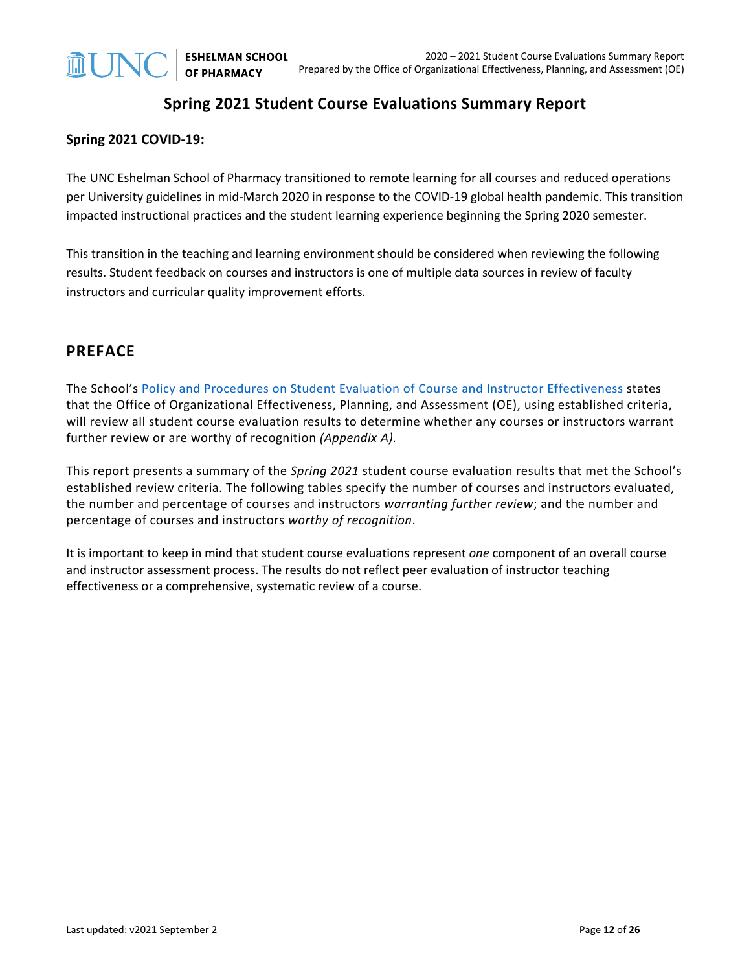## **Spring 2021 Student Course Evaluations Summary Report**

#### **Spring 2021 COVID-19:**

The UNC Eshelman School of Pharmacy transitioned to remote learning for all courses and reduced operations per University guidelines in mid-March 2020 in response to the COVID-19 global health pandemic. This transition impacted instructional practices and the student learning experience beginning the Spring 2020 semester.

This transition in the teaching and learning environment should be considered when reviewing the following results. Student feedback on courses and instructors is one of multiple data sources in review of faculty instructors and curricular quality improvement efforts.

### **PREFACE**

The School's [Policy and Procedures on Student Evaluation of Course and Instructor Effectiveness](https://pharmacy.unc.edu/wp-content/uploads/sites/1043/2021/01/Course-Evaluation-Policy-and-Procedures-5-7-14_updates-v2021.01.25.pdf) states that the Office of Organizational Effectiveness, Planning, and Assessment (OE), using established criteria, will review all student course evaluation results to determine whether any courses or instructors warrant further review or are worthy of recognition *(Appendix A).*

This report presents a summary of the *Spring 2021* student course evaluation results that met the School's established review criteria. The following tables specify the number of courses and instructors evaluated, the number and percentage of courses and instructors *warranting further review*; and the number and percentage of courses and instructors *worthy of recognition*.

It is important to keep in mind that student course evaluations represent *one* component of an overall course and instructor assessment process. The results do not reflect peer evaluation of instructor teaching effectiveness or a comprehensive, systematic review of a course.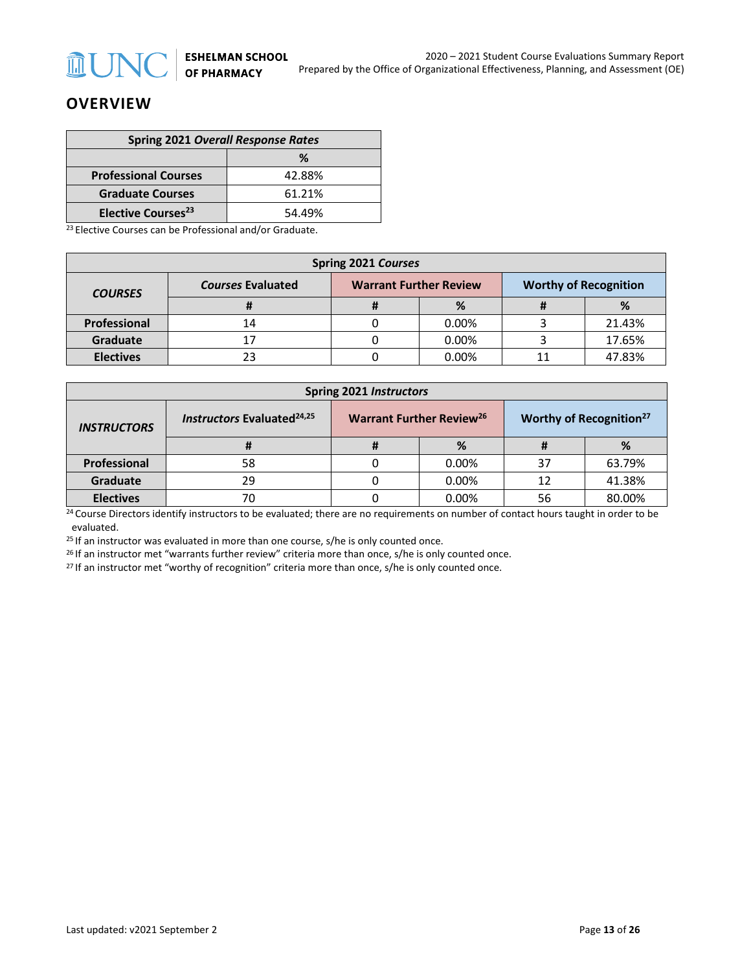

## **OVERVIEW**

| <b>Spring 2021 Overall Response Rates</b> |        |  |  |
|-------------------------------------------|--------|--|--|
| ℅                                         |        |  |  |
| <b>Professional Courses</b>               | 42.88% |  |  |
| <b>Graduate Courses</b>                   | 61.21% |  |  |
| <b>Elective Courses<sup>23</sup></b>      | 54.49% |  |  |

<sup>23</sup> Elective Courses can be Professional and/or Graduate.

| Spring 2021 Courses |                          |                               |       |  |                              |  |  |
|---------------------|--------------------------|-------------------------------|-------|--|------------------------------|--|--|
| <b>COURSES</b>      | <b>Courses Evaluated</b> | <b>Warrant Further Review</b> |       |  | <b>Worthy of Recognition</b> |  |  |
|                     |                          |                               | %     |  | %                            |  |  |
| <b>Professional</b> | 14                       |                               | 0.00% |  | 21.43%                       |  |  |
| Graduate            |                          |                               | 0.00% |  | 17.65%                       |  |  |
| <b>Electives</b>    | 23                       |                               | 0.00% |  | 47.83%                       |  |  |

| <b>Spring 2021 Instructors</b> |                                                                                             |   |       |                                     |        |  |
|--------------------------------|---------------------------------------------------------------------------------------------|---|-------|-------------------------------------|--------|--|
| <b>INSTRUCTORS</b>             | <b>Warrant Further Review<sup>26</sup></b><br><b>Instructors Evaluated</b> <sup>24,25</sup> |   |       | Worthy of Recognition <sup>27</sup> |        |  |
|                                | #                                                                                           | Ħ | %     |                                     | %      |  |
| Professional                   | 58                                                                                          |   | 0.00% | 37                                  | 63.79% |  |
| Graduate                       | 29                                                                                          |   | 0.00% | 12                                  | 41.38% |  |
| <b>Electives</b>               | 70                                                                                          |   | 0.00% | 56                                  | 80.00% |  |

<sup>24</sup> Course Directors identify instructors to be evaluated; there are no requirements on number of contact hours taught in order to be evaluated.

 $25$  If an instructor was evaluated in more than one course, s/he is only counted once.

<sup>26</sup> If an instructor met "warrants further review" criteria more than once, s/he is only counted once.<br><sup>27</sup> If an instructor met "worthy of recognition" criteria more than once, s/he is only counted once.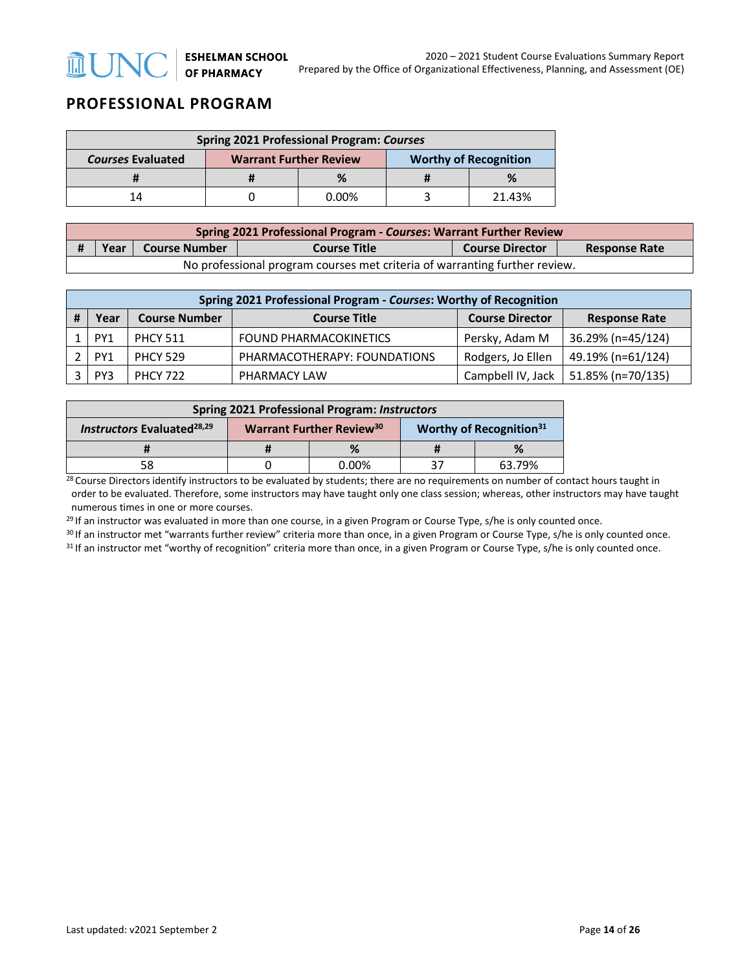# **PROFESSIONAL PROGRAM**

| <b>Spring 2021 Professional Program: Courses</b> |                               |          |                              |        |  |  |
|--------------------------------------------------|-------------------------------|----------|------------------------------|--------|--|--|
| <b>Courses Evaluated</b>                         | <b>Warrant Further Review</b> |          | <b>Worthy of Recognition</b> |        |  |  |
|                                                  |                               | %        |                              | %      |  |  |
| 14                                               |                               | $0.00\%$ |                              | 21.43% |  |  |

| <b>Spring 2021 Professional Program - Courses: Warrant Further Review</b>  |                                                                                                  |  |  |  |  |  |
|----------------------------------------------------------------------------|--------------------------------------------------------------------------------------------------|--|--|--|--|--|
|                                                                            | Course Number<br><b>Course Title</b><br>Year I<br><b>Course Director</b><br><b>Response Rate</b> |  |  |  |  |  |
| No professional program courses met criteria of warranting further review. |                                                                                                  |  |  |  |  |  |

| Spring 2021 Professional Program - Courses: Worthy of Recognition |                                                                                                       |                 |                               |                   |                   |  |  |  |
|-------------------------------------------------------------------|-------------------------------------------------------------------------------------------------------|-----------------|-------------------------------|-------------------|-------------------|--|--|--|
|                                                                   | <b>Course Number</b><br><b>Course Director</b><br><b>Course Title</b><br>Year<br><b>Response Rate</b> |                 |                               |                   |                   |  |  |  |
|                                                                   | PY1                                                                                                   | <b>PHCY 511</b> | <b>FOUND PHARMACOKINETICS</b> | Persky, Adam M    | 36.29% (n=45/124) |  |  |  |
|                                                                   | PY <sub>1</sub>                                                                                       | <b>PHCY 529</b> | PHARMACOTHERAPY: FOUNDATIONS  | Rodgers, Jo Ellen | 49.19% (n=61/124) |  |  |  |
|                                                                   | PY3                                                                                                   | <b>PHCY 722</b> | PHARMACY LAW                  | Campbell IV, Jack | 51.85% (n=70/135) |  |  |  |

| <b>Spring 2021 Professional Program: Instructors</b> |  |                                            |  |                                     |  |
|------------------------------------------------------|--|--------------------------------------------|--|-------------------------------------|--|
| <b>Instructors Evaluated</b> <sup>28,29</sup>        |  | <b>Warrant Further Review<sup>30</sup></b> |  | Worthy of Recognition <sup>31</sup> |  |
|                                                      |  |                                            |  |                                     |  |
| 58                                                   |  | 0.00%                                      |  | 63.79%                              |  |

<sup>28</sup> Course Directors identify instructors to be evaluated by students; there are no requirements on number of contact hours taught in order to be evaluated. Therefore, some instructors may have taught only one class session; whereas, other instructors may have taught numerous times in one or more courses.

<sup>29</sup> If an instructor was evaluated in more than one course, in a given Program or Course Type, s/he is only counted once.

<sup>30</sup> If an instructor met "warrants further review" criteria more than once, in a given Program or Course Type, s/he is only counted once.<br><sup>31</sup> If an instructor met "worthy of recognition" criteria more than once, in a giv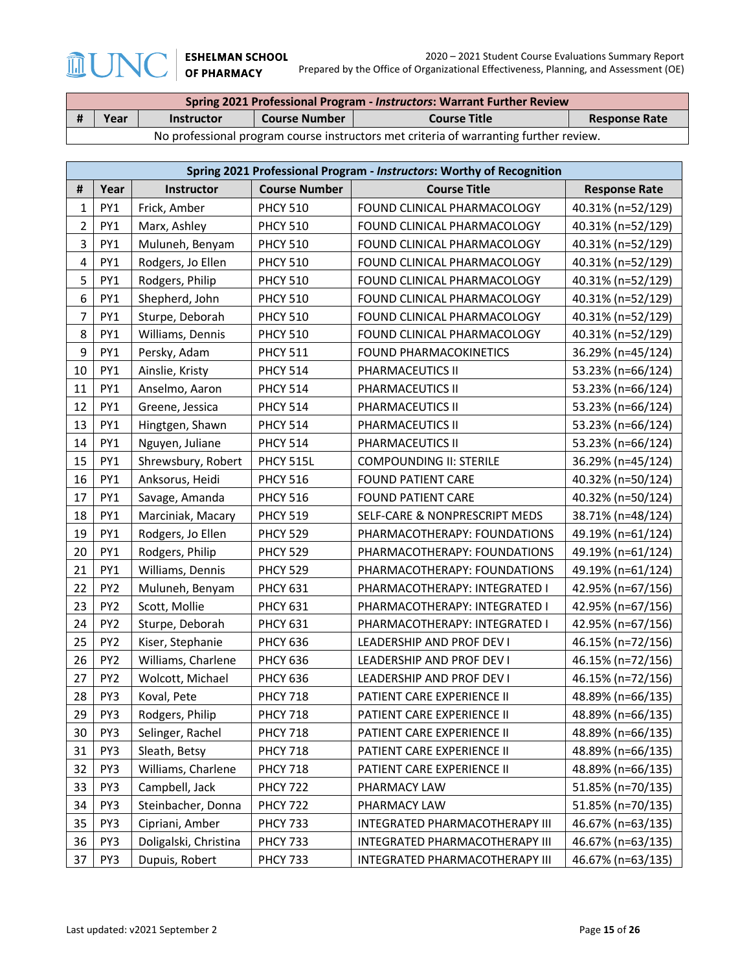**MUNO** 

| Spring 2021 Professional Program - Instructors: Warrant Further Review                |      |                   |                      |                     |                      |  |
|---------------------------------------------------------------------------------------|------|-------------------|----------------------|---------------------|----------------------|--|
| Ħ                                                                                     | Year | <b>Instructor</b> | <b>Course Number</b> | <b>Course Title</b> | <b>Response Rate</b> |  |
| No professional program course instructors met criteria of warranting further review. |      |                   |                      |                     |                      |  |

|                         | Spring 2021 Professional Program - Instructors: Worthy of Recognition |                       |                      |                                |                      |  |  |
|-------------------------|-----------------------------------------------------------------------|-----------------------|----------------------|--------------------------------|----------------------|--|--|
| #                       | Year                                                                  | Instructor            | <b>Course Number</b> | <b>Course Title</b>            | <b>Response Rate</b> |  |  |
| $\mathbf{1}$            | PY1                                                                   | Frick, Amber          | <b>PHCY 510</b>      | FOUND CLINICAL PHARMACOLOGY    | 40.31% (n=52/129)    |  |  |
| $\overline{2}$          | PY1                                                                   | Marx, Ashley          | <b>PHCY 510</b>      | FOUND CLINICAL PHARMACOLOGY    | 40.31% (n=52/129)    |  |  |
| 3                       | PY1                                                                   | Muluneh, Benyam       | <b>PHCY 510</b>      | FOUND CLINICAL PHARMACOLOGY    | 40.31% (n=52/129)    |  |  |
| $\overline{\mathbf{4}}$ | PY1                                                                   | Rodgers, Jo Ellen     | <b>PHCY 510</b>      | FOUND CLINICAL PHARMACOLOGY    | 40.31% (n=52/129)    |  |  |
| 5                       | PY1                                                                   | Rodgers, Philip       | <b>PHCY 510</b>      | FOUND CLINICAL PHARMACOLOGY    | 40.31% (n=52/129)    |  |  |
| $\boldsymbol{6}$        | PY1                                                                   | Shepherd, John        | <b>PHCY 510</b>      | FOUND CLINICAL PHARMACOLOGY    | 40.31% (n=52/129)    |  |  |
| $\overline{7}$          | PY1                                                                   | Sturpe, Deborah       | <b>PHCY 510</b>      | FOUND CLINICAL PHARMACOLOGY    | 40.31% (n=52/129)    |  |  |
| 8                       | PY <sub>1</sub>                                                       | Williams, Dennis      | <b>PHCY 510</b>      | FOUND CLINICAL PHARMACOLOGY    | 40.31% (n=52/129)    |  |  |
| 9                       | PY <sub>1</sub>                                                       | Persky, Adam          | <b>PHCY 511</b>      | <b>FOUND PHARMACOKINETICS</b>  | 36.29% (n=45/124)    |  |  |
| 10                      | PY <sub>1</sub>                                                       | Ainslie, Kristy       | <b>PHCY 514</b>      | PHARMACEUTICS II               | 53.23% (n=66/124)    |  |  |
| $11\,$                  | PY1                                                                   | Anselmo, Aaron        | <b>PHCY 514</b>      | PHARMACEUTICS II               | 53.23% (n=66/124)    |  |  |
| 12                      | PY1                                                                   | Greene, Jessica       | <b>PHCY 514</b>      | PHARMACEUTICS II               | 53.23% (n=66/124)    |  |  |
| 13                      | PY1                                                                   | Hingtgen, Shawn       | <b>PHCY 514</b>      | PHARMACEUTICS II               | 53.23% (n=66/124)    |  |  |
| 14                      | PY1                                                                   | Nguyen, Juliane       | <b>PHCY 514</b>      | PHARMACEUTICS II               | 53.23% (n=66/124)    |  |  |
| 15                      | PY1                                                                   | Shrewsbury, Robert    | PHCY 515L            | <b>COMPOUNDING II: STERILE</b> | 36.29% (n=45/124)    |  |  |
| 16                      | PY1                                                                   | Anksorus, Heidi       | <b>PHCY 516</b>      | <b>FOUND PATIENT CARE</b>      | 40.32% (n=50/124)    |  |  |
| 17                      | PY1                                                                   | Savage, Amanda        | <b>PHCY 516</b>      | <b>FOUND PATIENT CARE</b>      | 40.32% (n=50/124)    |  |  |
| 18                      | PY1                                                                   | Marciniak, Macary     | <b>PHCY 519</b>      | SELF-CARE & NONPRESCRIPT MEDS  | 38.71% (n=48/124)    |  |  |
| 19                      | PY1                                                                   | Rodgers, Jo Ellen     | <b>PHCY 529</b>      | PHARMACOTHERAPY: FOUNDATIONS   | 49.19% (n=61/124)    |  |  |
| 20                      | PY1                                                                   | Rodgers, Philip       | <b>PHCY 529</b>      | PHARMACOTHERAPY: FOUNDATIONS   | 49.19% (n=61/124)    |  |  |
| 21                      | PY <sub>1</sub>                                                       | Williams, Dennis      | <b>PHCY 529</b>      | PHARMACOTHERAPY: FOUNDATIONS   | 49.19% (n=61/124)    |  |  |
| 22                      | PY <sub>2</sub>                                                       | Muluneh, Benyam       | <b>PHCY 631</b>      | PHARMACOTHERAPY: INTEGRATED I  | 42.95% (n=67/156)    |  |  |
| 23                      | PY <sub>2</sub>                                                       | Scott, Mollie         | <b>PHCY 631</b>      | PHARMACOTHERAPY: INTEGRATED I  | 42.95% (n=67/156)    |  |  |
| 24                      | PY <sub>2</sub>                                                       | Sturpe, Deborah       | <b>PHCY 631</b>      | PHARMACOTHERAPY: INTEGRATED I  | 42.95% (n=67/156)    |  |  |
| 25                      | PY <sub>2</sub>                                                       | Kiser, Stephanie      | <b>PHCY 636</b>      | LEADERSHIP AND PROF DEV I      | 46.15% (n=72/156)    |  |  |
| 26                      | PY <sub>2</sub>                                                       | Williams, Charlene    | <b>PHCY 636</b>      | LEADERSHIP AND PROF DEV I      | 46.15% (n=72/156)    |  |  |
| 27                      | PY <sub>2</sub>                                                       | Wolcott, Michael      | <b>PHCY 636</b>      | LEADERSHIP AND PROF DEV I      | 46.15% (n=72/156)    |  |  |
| 28                      | PY3                                                                   | Koval, Pete           | <b>PHCY 718</b>      | PATIENT CARE EXPERIENCE II     | 48.89% (n=66/135)    |  |  |
| 29                      | PY3                                                                   | Rodgers, Philip       | <b>PHCY 718</b>      | PATIENT CARE EXPERIENCE II     | 48.89% (n=66/135)    |  |  |
| 30                      | PY3                                                                   | Selinger, Rachel      | <b>PHCY 718</b>      | PATIENT CARE EXPERIENCE II     | 48.89% (n=66/135)    |  |  |
| 31                      | PY3                                                                   | Sleath, Betsy         | <b>PHCY 718</b>      | PATIENT CARE EXPERIENCE II     | 48.89% (n=66/135)    |  |  |
| 32                      | PY3                                                                   | Williams, Charlene    | <b>PHCY 718</b>      | PATIENT CARE EXPERIENCE II     | 48.89% (n=66/135)    |  |  |
| 33                      | PY3                                                                   | Campbell, Jack        | <b>PHCY 722</b>      | PHARMACY LAW                   | 51.85% (n=70/135)    |  |  |
| 34                      | PY3                                                                   | Steinbacher, Donna    | <b>PHCY 722</b>      | PHARMACY LAW                   | 51.85% (n=70/135)    |  |  |
| 35                      | PY3                                                                   | Cipriani, Amber       | <b>PHCY 733</b>      | INTEGRATED PHARMACOTHERAPY III | 46.67% (n=63/135)    |  |  |
| 36                      | PY3                                                                   | Doligalski, Christina | <b>PHCY 733</b>      | INTEGRATED PHARMACOTHERAPY III | 46.67% (n=63/135)    |  |  |
| 37                      | PY3                                                                   | Dupuis, Robert        | <b>PHCY 733</b>      | INTEGRATED PHARMACOTHERAPY III | 46.67% (n=63/135)    |  |  |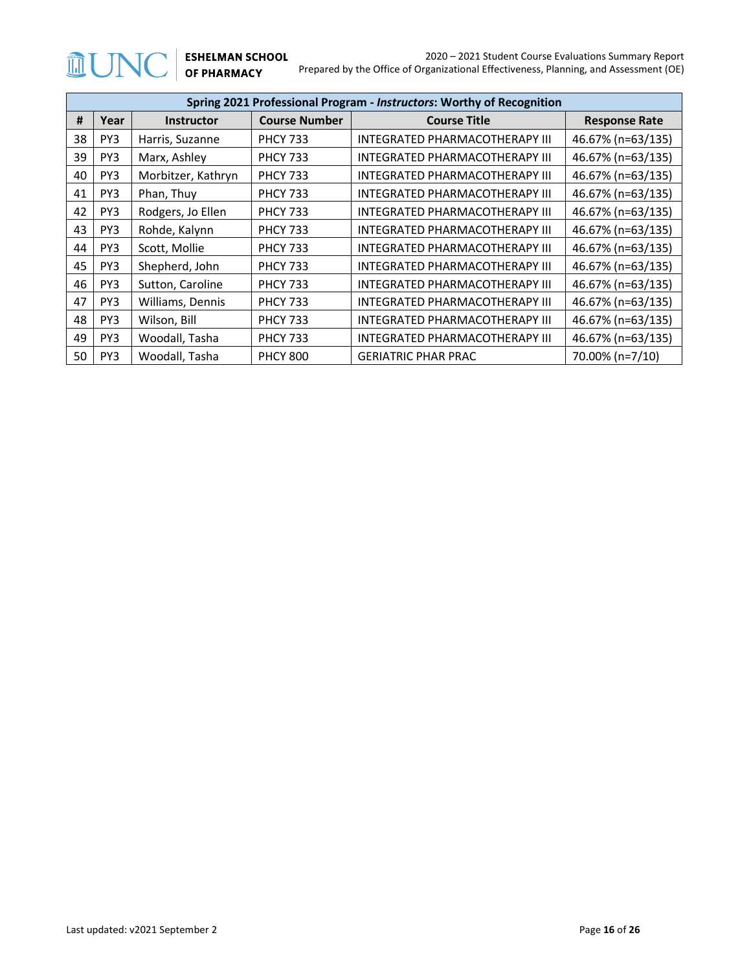|    | Spring 2021 Professional Program - Instructors: Worthy of Recognition |                    |                      |                                       |                      |  |  |
|----|-----------------------------------------------------------------------|--------------------|----------------------|---------------------------------------|----------------------|--|--|
| #  | Year                                                                  | <b>Instructor</b>  | <b>Course Number</b> | <b>Course Title</b>                   | <b>Response Rate</b> |  |  |
| 38 | PY <sub>3</sub>                                                       | Harris, Suzanne    | <b>PHCY 733</b>      | INTEGRATED PHARMACOTHERAPY III        | 46.67% (n=63/135)    |  |  |
| 39 | PY3                                                                   | Marx, Ashley       | <b>PHCY 733</b>      | INTEGRATED PHARMACOTHERAPY III        | 46.67% (n=63/135)    |  |  |
| 40 | PY <sub>3</sub>                                                       | Morbitzer, Kathryn | <b>PHCY 733</b>      | <b>INTEGRATED PHARMACOTHERAPY III</b> | 46.67% (n=63/135)    |  |  |
| 41 | PY3                                                                   | Phan, Thuy         | <b>PHCY 733</b>      | <b>INTEGRATED PHARMACOTHERAPY III</b> | 46.67% (n=63/135)    |  |  |
| 42 | PY <sub>3</sub>                                                       | Rodgers, Jo Ellen  | <b>PHCY 733</b>      | <b>INTEGRATED PHARMACOTHERAPY III</b> | 46.67% (n=63/135)    |  |  |
| 43 | PY3                                                                   | Rohde, Kalynn      | <b>PHCY 733</b>      | INTEGRATED PHARMACOTHERAPY III        | 46.67% (n=63/135)    |  |  |
| 44 | PY3                                                                   | Scott, Mollie      | <b>PHCY 733</b>      | <b>INTEGRATED PHARMACOTHERAPY III</b> | 46.67% (n=63/135)    |  |  |
| 45 | PY3                                                                   | Shepherd, John     | <b>PHCY 733</b>      | INTEGRATED PHARMACOTHERAPY III        | 46.67% (n=63/135)    |  |  |
| 46 | PY3                                                                   | Sutton, Caroline   | <b>PHCY 733</b>      | <b>INTEGRATED PHARMACOTHERAPY III</b> | 46.67% (n=63/135)    |  |  |
| 47 | PY3                                                                   | Williams, Dennis   | <b>PHCY 733</b>      | <b>INTEGRATED PHARMACOTHERAPY III</b> | 46.67% (n=63/135)    |  |  |
| 48 | PY <sub>3</sub>                                                       | Wilson, Bill       | <b>PHCY 733</b>      | INTEGRATED PHARMACOTHERAPY III        | 46.67% (n=63/135)    |  |  |
| 49 | PY3                                                                   | Woodall, Tasha     | <b>PHCY 733</b>      | <b>INTEGRATED PHARMACOTHERAPY III</b> | 46.67% (n=63/135)    |  |  |
| 50 | PY3                                                                   | Woodall, Tasha     | <b>PHCY 800</b>      | <b>GERIATRIC PHAR PRAC</b>            | 70.00% (n=7/10)      |  |  |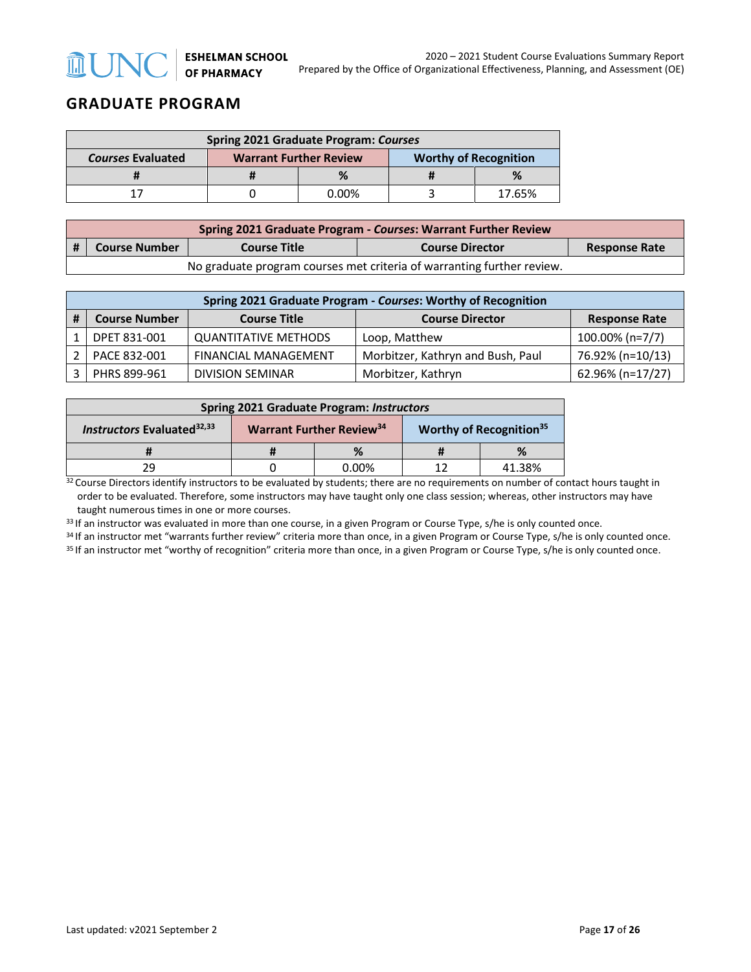# **GRADUATE PROGRAM**

| <b>Spring 2021 Graduate Program: Courses</b>                                              |  |          |  |        |
|-------------------------------------------------------------------------------------------|--|----------|--|--------|
| <b>Worthy of Recognition</b><br><b>Courses Evaluated</b><br><b>Warrant Further Review</b> |  |          |  |        |
|                                                                                           |  |          |  |        |
|                                                                                           |  | $0.00\%$ |  | 17.65% |

|      | Spring 2021 Graduate Program - Courses: Warrant Further Review         |                     |                        |                      |  |
|------|------------------------------------------------------------------------|---------------------|------------------------|----------------------|--|
| l# 1 | <b>Course Number</b>                                                   | <b>Course Title</b> | <b>Course Director</b> | <b>Response Rate</b> |  |
|      | No graduate program courses met criteria of warranting further review. |                     |                        |                      |  |

| Spring 2021 Graduate Program - Courses: Worthy of Recognition                                 |                             |                                   |                  |  |  |
|-----------------------------------------------------------------------------------------------|-----------------------------|-----------------------------------|------------------|--|--|
| <b>Course Number</b><br><b>Course Title</b><br><b>Course Director</b><br><b>Response Rate</b> |                             |                                   |                  |  |  |
| DPET 831-001                                                                                  | <b>QUANTITATIVE METHODS</b> | Loop, Matthew                     | 100.00% (n=7/7)  |  |  |
| PACE 832-001                                                                                  | <b>FINANCIAL MANAGEMENT</b> | Morbitzer, Kathryn and Bush, Paul | 76.92% (n=10/13) |  |  |
| PHRS 899-961                                                                                  | <b>DIVISION SEMINAR</b>     | Morbitzer, Kathryn                | 62.96% (n=17/27) |  |  |

| <b>Spring 2021 Graduate Program: Instructors</b> |                                                                                    |          |  |        |
|--------------------------------------------------|------------------------------------------------------------------------------------|----------|--|--------|
| Instructors Evaluated <sup>32,33</sup>           | <b>Warrant Further Review</b> <sup>34</sup><br>Worthy of Recognition <sup>35</sup> |          |  |        |
|                                                  |                                                                                    |          |  |        |
| 29                                               |                                                                                    | $0.00\%$ |  | 41.38% |

 $32$  Course Directors identify instructors to be evaluated by students; there are no requirements on number of contact hours taught in order to be evaluated. Therefore, some instructors may have taught only one class session; whereas, other instructors may have taught numerous times in one or more courses.

33 If an instructor was evaluated in more than one course, in a given Program or Course Type, s/he is only counted once.

 $34$  If an instructor met "warrants further review" criteria more than once, in a given Program or Course Type, s/he is only counted once.<br> $35$  If an instructor met "worthy of recognition" criteria more than once, in a gi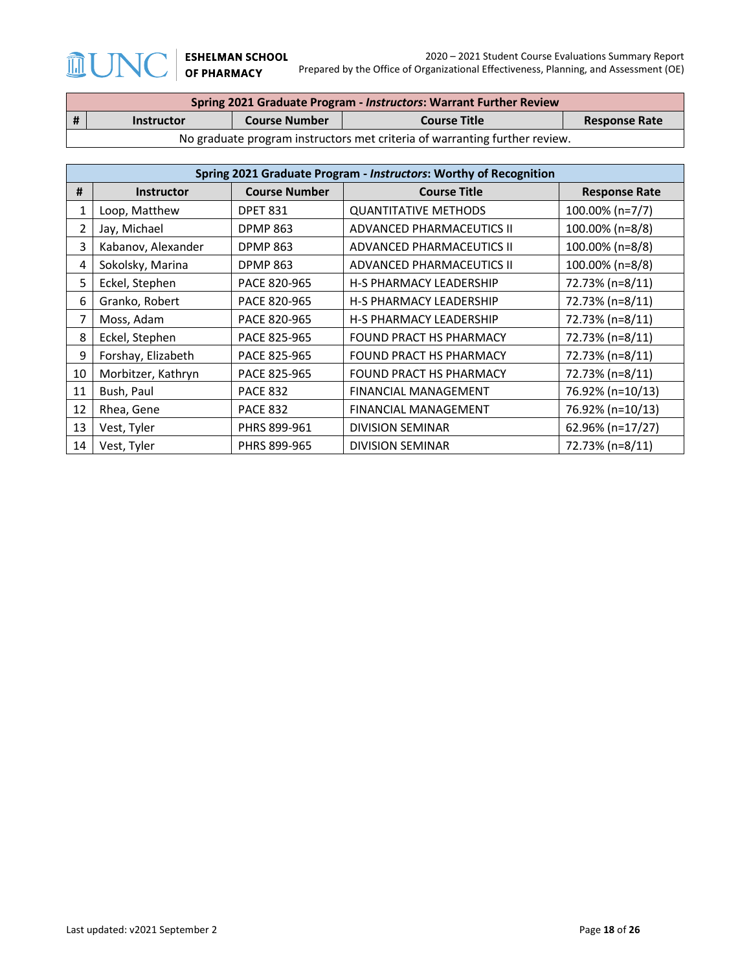$\mathbb{J}$ 

 $\widehat{\mathbb{I}\!\text{I}}$ 

|    | Spring 2021 Graduate Program - Instructors: Warrant Further Review         |                      |                     |                      |  |
|----|----------------------------------------------------------------------------|----------------------|---------------------|----------------------|--|
| -# | <b>Instructor</b>                                                          | <b>Course Number</b> | <b>Course Title</b> | <b>Response Rate</b> |  |
|    | No graduate program instructors met criteria of warranting further review. |                      |                     |                      |  |

|    | Spring 2021 Graduate Program - Instructors: Worthy of Recognition |                      |                                |                      |  |  |
|----|-------------------------------------------------------------------|----------------------|--------------------------------|----------------------|--|--|
| #  | <b>Instructor</b>                                                 | <b>Course Number</b> | <b>Course Title</b>            | <b>Response Rate</b> |  |  |
| 1  | Loop, Matthew                                                     | <b>DPET 831</b>      | <b>QUANTITATIVE METHODS</b>    | 100.00% (n=7/7)      |  |  |
| 2  | Jay, Michael                                                      | <b>DPMP 863</b>      | ADVANCED PHARMACEUTICS II      | 100.00% (n=8/8)      |  |  |
| 3  | Kabanov, Alexander                                                | <b>DPMP 863</b>      | ADVANCED PHARMACEUTICS II      | 100.00% (n=8/8)      |  |  |
| 4  | Sokolsky, Marina                                                  | <b>DPMP 863</b>      | ADVANCED PHARMACEUTICS II      | 100.00% (n=8/8)      |  |  |
| 5  | Eckel, Stephen                                                    | PACE 820-965         | <b>H-S PHARMACY LEADERSHIP</b> | 72.73% (n=8/11)      |  |  |
| 6  | Granko, Robert                                                    | PACE 820-965         | <b>H-S PHARMACY LEADERSHIP</b> | 72.73% (n=8/11)      |  |  |
| 7  | Moss, Adam                                                        | PACE 820-965         | <b>H-S PHARMACY LEADERSHIP</b> | 72.73% (n=8/11)      |  |  |
| 8  | Eckel, Stephen                                                    | PACE 825-965         | <b>FOUND PRACT HS PHARMACY</b> | 72.73% (n=8/11)      |  |  |
| 9  | Forshay, Elizabeth                                                | PACE 825-965         | <b>FOUND PRACT HS PHARMACY</b> | 72.73% (n=8/11)      |  |  |
| 10 | Morbitzer, Kathryn                                                | PACE 825-965         | <b>FOUND PRACT HS PHARMACY</b> | 72.73% (n=8/11)      |  |  |
| 11 | Bush, Paul                                                        | <b>PACE 832</b>      | <b>FINANCIAL MANAGEMENT</b>    | 76.92% (n=10/13)     |  |  |
| 12 | Rhea, Gene                                                        | <b>PACE 832</b>      | <b>FINANCIAL MANAGEMENT</b>    | 76.92% (n=10/13)     |  |  |
| 13 | Vest, Tyler                                                       | PHRS 899-961         | <b>DIVISION SEMINAR</b>        | 62.96% (n=17/27)     |  |  |
| 14 | Vest, Tyler                                                       | PHRS 899-965         | <b>DIVISION SEMINAR</b>        | 72.73% (n=8/11)      |  |  |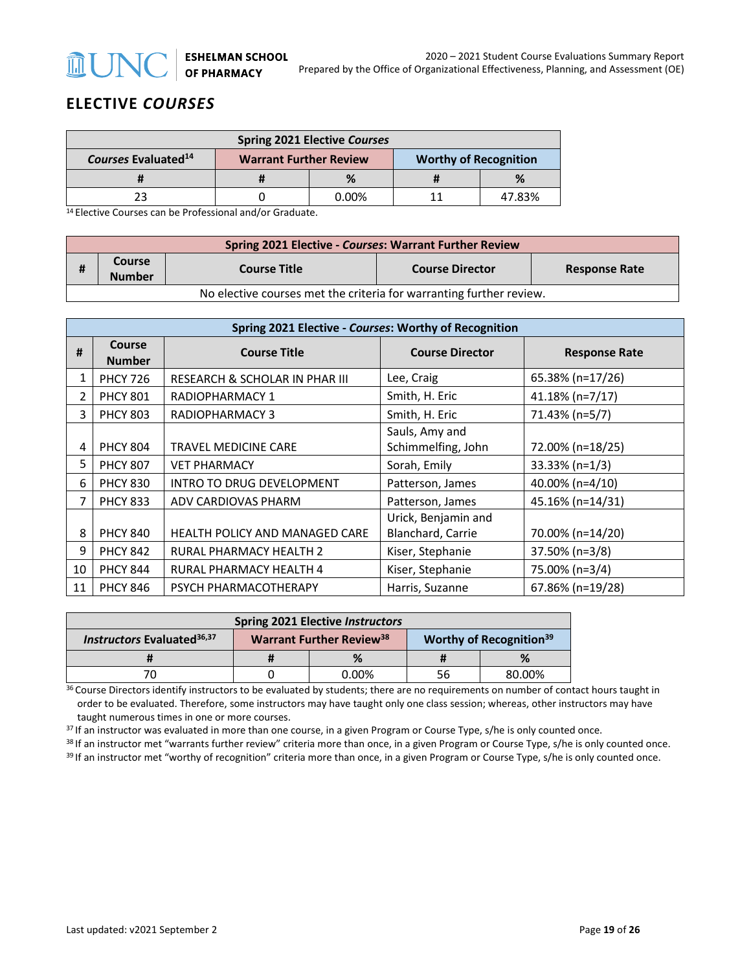## **ELECTIVE** *COURSES*

**MUN** 

| <b>Spring 2021 Elective Courses</b>                                                              |  |          |  |        |
|--------------------------------------------------------------------------------------------------|--|----------|--|--------|
| Courses Evaluated <sup>14</sup><br><b>Warrant Further Review</b><br><b>Worthy of Recognition</b> |  |          |  |        |
|                                                                                                  |  |          |  | %      |
|                                                                                                  |  | $0.00\%$ |  | 47.83% |

14 Elective Courses can be Professional and/or Graduate.

|                                                                     | <b>Spring 2021 Elective - Courses: Warrant Further Review</b> |                     |                        |                      |  |  |
|---------------------------------------------------------------------|---------------------------------------------------------------|---------------------|------------------------|----------------------|--|--|
| Ħ                                                                   | Course<br><b>Number</b>                                       | <b>Course Title</b> | <b>Course Director</b> | <b>Response Rate</b> |  |  |
| No elective courses met the criteria for warranting further review. |                                                               |                     |                        |                      |  |  |

|    | Spring 2021 Elective - Courses: Worthy of Recognition |                                       |                                          |                      |  |  |
|----|-------------------------------------------------------|---------------------------------------|------------------------------------------|----------------------|--|--|
| #  | Course<br><b>Number</b>                               | <b>Course Title</b>                   | <b>Course Director</b>                   | <b>Response Rate</b> |  |  |
| 1  | <b>PHCY 726</b>                                       | RESEARCH & SCHOLAR IN PHAR III        | Lee, Craig                               | 65.38% (n=17/26)     |  |  |
| 2  | <b>PHCY 801</b>                                       | RADIOPHARMACY 1                       | Smith, H. Eric                           | 41.18% (n=7/17)      |  |  |
| 3  | <b>PHCY 803</b>                                       | RADIOPHARMACY 3                       | Smith, H. Eric                           | 71.43% (n=5/7)       |  |  |
| 4  | <b>PHCY 804</b>                                       | <b>TRAVEL MEDICINE CARE</b>           | Sauls, Amy and<br>Schimmelfing, John     | 72.00% (n=18/25)     |  |  |
| 5  | <b>PHCY 807</b>                                       | <b>VET PHARMACY</b>                   | Sorah, Emily                             | $33.33\%$ (n=1/3)    |  |  |
| 6  | <b>PHCY 830</b>                                       | INTRO TO DRUG DEVELOPMENT             | Patterson, James                         | 40.00% (n=4/10)      |  |  |
| 7  | <b>PHCY 833</b>                                       | ADV CARDIOVAS PHARM                   | Patterson, James                         | 45.16% (n=14/31)     |  |  |
| 8  | <b>PHCY 840</b>                                       | <b>HEALTH POLICY AND MANAGED CARE</b> | Urick, Benjamin and<br>Blanchard, Carrie | 70.00% (n=14/20)     |  |  |
| 9  | <b>PHCY 842</b>                                       | RURAL PHARMACY HEALTH 2               | Kiser, Stephanie                         | 37.50% (n=3/8)       |  |  |
| 10 | <b>PHCY 844</b>                                       | RURAL PHARMACY HEALTH 4               | Kiser, Stephanie                         | 75.00% (n=3/4)       |  |  |
| 11 | <b>PHCY 846</b>                                       | PSYCH PHARMACOTHERAPY                 | Harris, Suzanne                          | 67.86% (n=19/28)     |  |  |

| <b>Spring 2021 Elective Instructors</b>                                                                                            |  |          |    |        |
|------------------------------------------------------------------------------------------------------------------------------------|--|----------|----|--------|
| Instructors Evaluated <sup>36,37</sup><br><b>Warrant Further Review</b> <sup>38</sup><br><b>Worthy of Recognition<sup>39</sup></b> |  |          |    |        |
|                                                                                                                                    |  |          |    |        |
| 70                                                                                                                                 |  | $0.00\%$ | 56 | 80.00% |

<sup>36</sup> Course Directors identify instructors to be evaluated by students; there are no requirements on number of contact hours taught in order to be evaluated. Therefore, some instructors may have taught only one class session; whereas, other instructors may have taught numerous times in one or more courses.

<sup>37</sup> If an instructor was evaluated in more than one course, in a given Program or Course Type, s/he is only counted once.<br><sup>38</sup> If an instructor met "warrants further review" criteria more than once, in a given Program or

<sup>39</sup> If an instructor met "worthy of recognition" criteria more than once, in a given Program or Course Type, s/he is only counted once.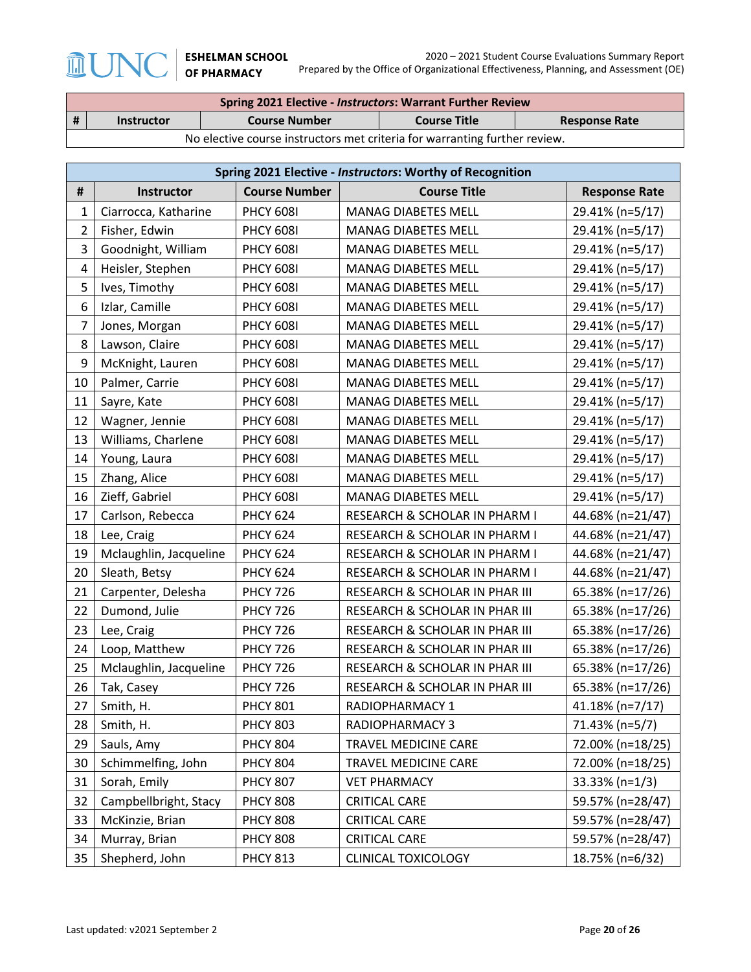$\mathbb{J}$ 

 $\widehat{\mathbb{H}}$ 

|   | <b>Spring 2021 Elective - Instructors: Warrant Further Review</b>          |                      |                     |                      |  |
|---|----------------------------------------------------------------------------|----------------------|---------------------|----------------------|--|
| # | <b>Instructor</b>                                                          | <b>Course Number</b> | <b>Course Title</b> | <b>Response Rate</b> |  |
|   | No elective course instructors met criteria for warranting further review. |                      |                     |                      |  |

|                | Spring 2021 Elective - Instructors: Worthy of Recognition |                      |                                |                      |  |  |
|----------------|-----------------------------------------------------------|----------------------|--------------------------------|----------------------|--|--|
| #              | Instructor                                                | <b>Course Number</b> | <b>Course Title</b>            | <b>Response Rate</b> |  |  |
| $\mathbf 1$    | Ciarrocca, Katharine                                      | <b>PHCY 6081</b>     | <b>MANAG DIABETES MELL</b>     | 29.41% (n=5/17)      |  |  |
| $\overline{2}$ | Fisher, Edwin                                             | <b>PHCY 608I</b>     | <b>MANAG DIABETES MELL</b>     | 29.41% (n=5/17)      |  |  |
| 3              | Goodnight, William                                        | <b>PHCY 608I</b>     | <b>MANAG DIABETES MELL</b>     | 29.41% (n=5/17)      |  |  |
| 4              | Heisler, Stephen                                          | <b>PHCY 6081</b>     | <b>MANAG DIABETES MELL</b>     | 29.41% (n=5/17)      |  |  |
| 5              | Ives, Timothy                                             | <b>PHCY 608I</b>     | <b>MANAG DIABETES MELL</b>     | 29.41% (n=5/17)      |  |  |
| 6              | Izlar, Camille                                            | <b>PHCY 608I</b>     | <b>MANAG DIABETES MELL</b>     | 29.41% (n=5/17)      |  |  |
| 7              | Jones, Morgan                                             | <b>PHCY 608I</b>     | <b>MANAG DIABETES MELL</b>     | 29.41% (n=5/17)      |  |  |
| 8              | Lawson, Claire                                            | <b>PHCY 608I</b>     | MANAG DIABETES MELL            | 29.41% (n=5/17)      |  |  |
| 9              | McKnight, Lauren                                          | <b>PHCY 608I</b>     | <b>MANAG DIABETES MELL</b>     | 29.41% (n=5/17)      |  |  |
| 10             | Palmer, Carrie                                            | <b>PHCY 608I</b>     | MANAG DIABETES MELL            | 29.41% (n=5/17)      |  |  |
| 11             | Sayre, Kate                                               | <b>PHCY 608I</b>     | MANAG DIABETES MELL            | 29.41% (n=5/17)      |  |  |
| 12             | Wagner, Jennie                                            | <b>PHCY 6081</b>     | <b>MANAG DIABETES MELL</b>     | 29.41% (n=5/17)      |  |  |
| 13             | Williams, Charlene                                        | <b>PHCY 6081</b>     | <b>MANAG DIABETES MELL</b>     | 29.41% (n=5/17)      |  |  |
| 14             | Young, Laura                                              | <b>PHCY 608I</b>     | <b>MANAG DIABETES MELL</b>     | 29.41% (n=5/17)      |  |  |
| 15             | Zhang, Alice                                              | <b>PHCY 608I</b>     | <b>MANAG DIABETES MELL</b>     | 29.41% (n=5/17)      |  |  |
| 16             | Zieff, Gabriel                                            | <b>PHCY 6081</b>     | <b>MANAG DIABETES MELL</b>     | 29.41% (n=5/17)      |  |  |
| 17             | Carlson, Rebecca                                          | <b>PHCY 624</b>      | RESEARCH & SCHOLAR IN PHARM I  | 44.68% (n=21/47)     |  |  |
| 18             | Lee, Craig                                                | <b>PHCY 624</b>      | RESEARCH & SCHOLAR IN PHARM I  | 44.68% (n=21/47)     |  |  |
| 19             | Mclaughlin, Jacqueline                                    | <b>PHCY 624</b>      | RESEARCH & SCHOLAR IN PHARM I  | 44.68% (n=21/47)     |  |  |
| 20             | Sleath, Betsy                                             | <b>PHCY 624</b>      | RESEARCH & SCHOLAR IN PHARM I  | 44.68% (n=21/47)     |  |  |
| 21             | Carpenter, Delesha                                        | <b>PHCY 726</b>      | RESEARCH & SCHOLAR IN PHAR III | 65.38% (n=17/26)     |  |  |
| 22             | Dumond, Julie                                             | <b>PHCY 726</b>      | RESEARCH & SCHOLAR IN PHAR III | 65.38% (n=17/26)     |  |  |
| 23             | Lee, Craig                                                | <b>PHCY 726</b>      | RESEARCH & SCHOLAR IN PHAR III | 65.38% (n=17/26)     |  |  |
| 24             | Loop, Matthew                                             | <b>PHCY 726</b>      | RESEARCH & SCHOLAR IN PHAR III | 65.38% (n=17/26)     |  |  |
| 25             | Mclaughlin, Jacqueline                                    | <b>PHCY 726</b>      | RESEARCH & SCHOLAR IN PHAR III | 65.38% (n=17/26)     |  |  |
| 26             | Tak, Casey                                                | <b>PHCY 726</b>      | RESEARCH & SCHOLAR IN PHAR III | 65.38% (n=17/26)     |  |  |
| 27             | Smith, H.                                                 | <b>PHCY 801</b>      | RADIOPHARMACY 1                | 41.18% (n=7/17)      |  |  |
| 28             | Smith, H.                                                 | <b>PHCY 803</b>      | RADIOPHARMACY 3                | 71.43% (n=5/7)       |  |  |
| 29             | Sauls, Amy                                                | <b>PHCY 804</b>      | TRAVEL MEDICINE CARE           | 72.00% (n=18/25)     |  |  |
| 30             | Schimmelfing, John                                        | <b>PHCY 804</b>      | TRAVEL MEDICINE CARE           | 72.00% (n=18/25)     |  |  |
| 31             | Sorah, Emily                                              | <b>PHCY 807</b>      | <b>VET PHARMACY</b>            | $33.33\%$ (n=1/3)    |  |  |
| 32             | Campbellbright, Stacy                                     | <b>PHCY 808</b>      | <b>CRITICAL CARE</b>           | 59.57% (n=28/47)     |  |  |
| 33             | McKinzie, Brian                                           | <b>PHCY 808</b>      | CRITICAL CARE                  | 59.57% (n=28/47)     |  |  |
| 34             | Murray, Brian                                             | <b>PHCY 808</b>      | <b>CRITICAL CARE</b>           | 59.57% (n=28/47)     |  |  |
| 35             | Shepherd, John                                            | <b>PHCY 813</b>      | <b>CLINICAL TOXICOLOGY</b>     | 18.75% (n=6/32)      |  |  |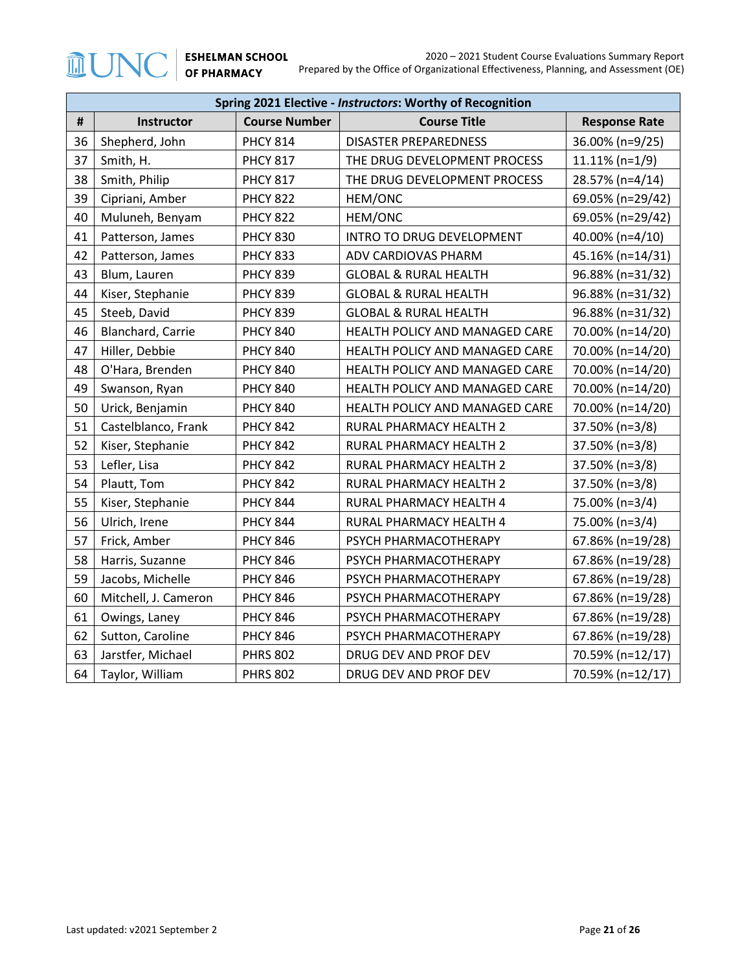|    | Spring 2021 Elective - Instructors: Worthy of Recognition |                     |                                  |                   |  |  |  |  |
|----|-----------------------------------------------------------|---------------------|----------------------------------|-------------------|--|--|--|--|
| #  | Instructor                                                | <b>Course Title</b> | <b>Response Rate</b>             |                   |  |  |  |  |
| 36 | Shepherd, John                                            | <b>PHCY 814</b>     | <b>DISASTER PREPAREDNESS</b>     | 36.00% (n=9/25)   |  |  |  |  |
| 37 | Smith, H.                                                 | <b>PHCY 817</b>     | THE DRUG DEVELOPMENT PROCESS     | $11.11\%$ (n=1/9) |  |  |  |  |
| 38 | Smith, Philip                                             | <b>PHCY 817</b>     | THE DRUG DEVELOPMENT PROCESS     | 28.57% (n=4/14)   |  |  |  |  |
| 39 | Cipriani, Amber                                           | <b>PHCY 822</b>     | HEM/ONC                          | 69.05% (n=29/42)  |  |  |  |  |
| 40 | Muluneh, Benyam                                           | <b>PHCY 822</b>     | HEM/ONC                          | 69.05% (n=29/42)  |  |  |  |  |
| 41 | Patterson, James                                          | <b>PHCY 830</b>     | INTRO TO DRUG DEVELOPMENT        | 40.00% (n=4/10)   |  |  |  |  |
| 42 | Patterson, James                                          | <b>PHCY 833</b>     | ADV CARDIOVAS PHARM              | 45.16% (n=14/31)  |  |  |  |  |
| 43 | Blum, Lauren                                              | <b>PHCY 839</b>     | <b>GLOBAL &amp; RURAL HEALTH</b> | 96.88% (n=31/32)  |  |  |  |  |
| 44 | Kiser, Stephanie                                          | <b>PHCY 839</b>     | <b>GLOBAL &amp; RURAL HEALTH</b> | 96.88% (n=31/32)  |  |  |  |  |
| 45 | Steeb, David                                              | <b>PHCY 839</b>     | <b>GLOBAL &amp; RURAL HEALTH</b> | 96.88% (n=31/32)  |  |  |  |  |
| 46 | Blanchard, Carrie                                         | <b>PHCY 840</b>     | HEALTH POLICY AND MANAGED CARE   | 70.00% (n=14/20)  |  |  |  |  |
| 47 | Hiller, Debbie                                            | <b>PHCY 840</b>     | HEALTH POLICY AND MANAGED CARE   | 70.00% (n=14/20)  |  |  |  |  |
| 48 | O'Hara, Brenden                                           | <b>PHCY 840</b>     | HEALTH POLICY AND MANAGED CARE   | 70.00% (n=14/20)  |  |  |  |  |
| 49 | Swanson, Ryan                                             | <b>PHCY 840</b>     | HEALTH POLICY AND MANAGED CARE   | 70.00% (n=14/20)  |  |  |  |  |
| 50 | Urick, Benjamin                                           | <b>PHCY 840</b>     | HEALTH POLICY AND MANAGED CARE   | 70.00% (n=14/20)  |  |  |  |  |
| 51 | Castelblanco, Frank                                       | <b>PHCY 842</b>     | RURAL PHARMACY HEALTH 2          | 37.50% (n=3/8)    |  |  |  |  |
| 52 | Kiser, Stephanie                                          | <b>PHCY 842</b>     | RURAL PHARMACY HEALTH 2          | 37.50% (n=3/8)    |  |  |  |  |
| 53 | Lefler, Lisa                                              | <b>PHCY 842</b>     | RURAL PHARMACY HEALTH 2          | 37.50% (n=3/8)    |  |  |  |  |
| 54 | Plautt, Tom                                               | <b>PHCY 842</b>     | RURAL PHARMACY HEALTH 2          | 37.50% (n=3/8)    |  |  |  |  |
| 55 | Kiser, Stephanie                                          | <b>PHCY 844</b>     | RURAL PHARMACY HEALTH 4          | 75.00% (n=3/4)    |  |  |  |  |
| 56 | Ulrich, Irene                                             | <b>PHCY 844</b>     | RURAL PHARMACY HEALTH 4          | 75.00% (n=3/4)    |  |  |  |  |
| 57 | Frick, Amber                                              | <b>PHCY 846</b>     | PSYCH PHARMACOTHERAPY            | 67.86% (n=19/28)  |  |  |  |  |
| 58 | Harris, Suzanne                                           | <b>PHCY 846</b>     | PSYCH PHARMACOTHERAPY            | 67.86% (n=19/28)  |  |  |  |  |
| 59 | Jacobs, Michelle                                          | <b>PHCY 846</b>     | PSYCH PHARMACOTHERAPY            | 67.86% (n=19/28)  |  |  |  |  |
| 60 | Mitchell, J. Cameron                                      | <b>PHCY 846</b>     | PSYCH PHARMACOTHERAPY            | 67.86% (n=19/28)  |  |  |  |  |
| 61 | Owings, Laney                                             | <b>PHCY 846</b>     | PSYCH PHARMACOTHERAPY            | 67.86% (n=19/28)  |  |  |  |  |
| 62 | Sutton, Caroline                                          | <b>PHCY 846</b>     | PSYCH PHARMACOTHERAPY            | 67.86% (n=19/28)  |  |  |  |  |
| 63 | Jarstfer, Michael                                         | <b>PHRS 802</b>     | DRUG DEV AND PROF DEV            | 70.59% (n=12/17)  |  |  |  |  |
| 64 | Taylor, William                                           | <b>PHRS 802</b>     | DRUG DEV AND PROF DEV            | 70.59% (n=12/17)  |  |  |  |  |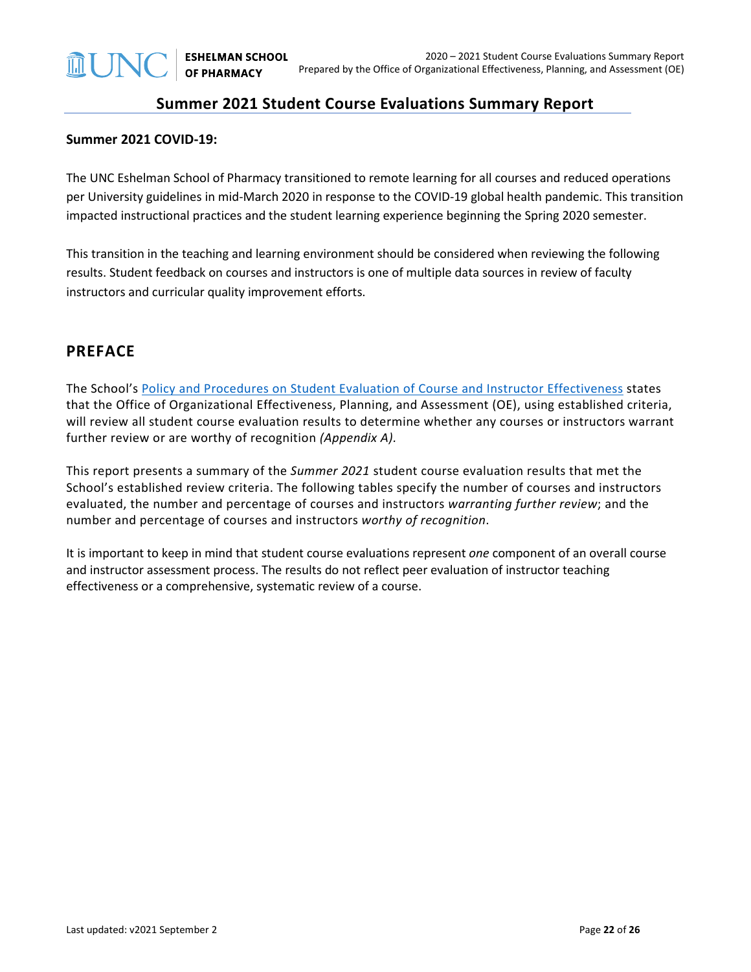### **Summer 2021 Student Course Evaluations Summary Report**

#### **Summer 2021 COVID-19:**

The UNC Eshelman School of Pharmacy transitioned to remote learning for all courses and reduced operations per University guidelines in mid-March 2020 in response to the COVID-19 global health pandemic. This transition impacted instructional practices and the student learning experience beginning the Spring 2020 semester.

This transition in the teaching and learning environment should be considered when reviewing the following results. Student feedback on courses and instructors is one of multiple data sources in review of faculty instructors and curricular quality improvement efforts.

#### **PREFACE**

The School's [Policy and Procedures on Student Evaluation of Course and Instructor Effectiveness](https://pharmacy.unc.edu/wp-content/uploads/sites/1043/2021/01/Course-Evaluation-Policy-and-Procedures-5-7-14_updates-v2021.01.25.pdf) states that the Office of Organizational Effectiveness, Planning, and Assessment (OE), using established criteria, will review all student course evaluation results to determine whether any courses or instructors warrant further review or are worthy of recognition *(Appendix A).*

This report presents a summary of the *Summer 2021* student course evaluation results that met the School's established review criteria. The following tables specify the number of courses and instructors evaluated, the number and percentage of courses and instructors *warranting further review*; and the number and percentage of courses and instructors *worthy of recognition*.

It is important to keep in mind that student course evaluations represent *one* component of an overall course and instructor assessment process. The results do not reflect peer evaluation of instructor teaching effectiveness or a comprehensive, systematic review of a course.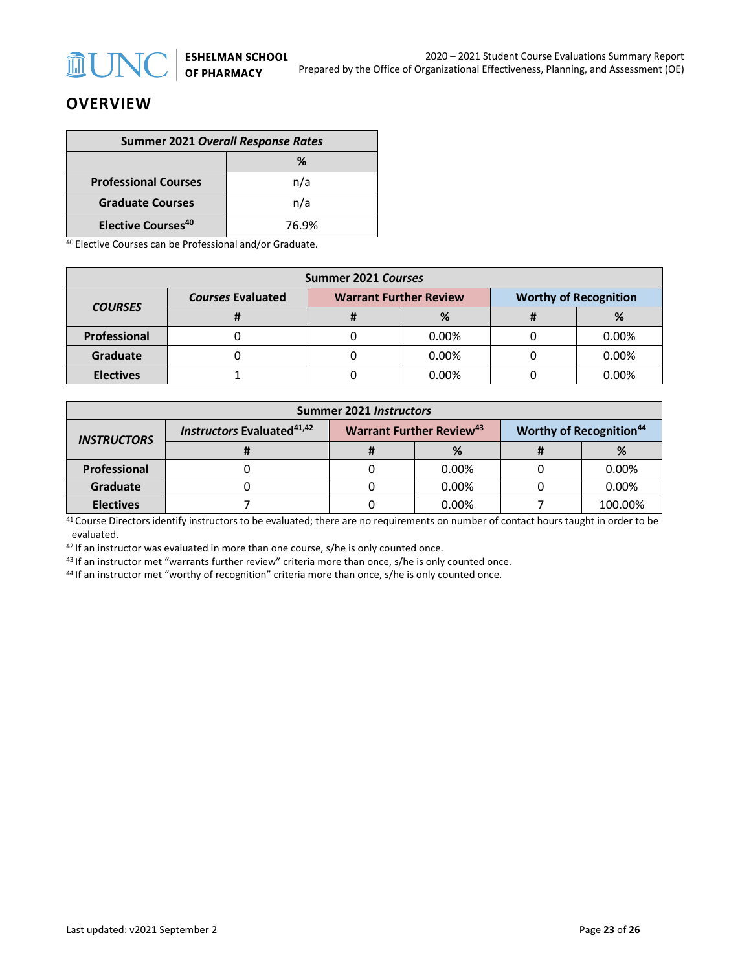

## **OVERVIEW**

| <b>Summer 2021 Overall Response Rates</b> |       |  |  |  |
|-------------------------------------------|-------|--|--|--|
| ℅                                         |       |  |  |  |
| <b>Professional Courses</b>               | n/a   |  |  |  |
| <b>Graduate Courses</b>                   | n/a   |  |  |  |
| <b>Elective Courses<sup>40</sup></b>      | 76.9% |  |  |  |

<sup>40</sup> Elective Courses can be Professional and/or Graduate.

| Summer 2021 Courses |                          |  |                               |                              |          |  |
|---------------------|--------------------------|--|-------------------------------|------------------------------|----------|--|
|                     | <b>Courses Evaluated</b> |  | <b>Warrant Further Review</b> | <b>Worthy of Recognition</b> |          |  |
| <b>COURSES</b>      |                          |  | %                             |                              | %        |  |
| Professional        |                          |  | $0.00\%$                      |                              | 0.00%    |  |
| Graduate            |                          |  | 0.00%                         |                              | 0.00%    |  |
| <b>Electives</b>    |                          |  | $0.00\%$                      |                              | $0.00\%$ |  |

| <b>Summer 2021 Instructors</b> |                                               |  |                                             |  |                                            |  |
|--------------------------------|-----------------------------------------------|--|---------------------------------------------|--|--------------------------------------------|--|
| <b>INSTRUCTORS</b>             | <b>Instructors Evaluated</b> <sup>41,42</sup> |  | <b>Warrant Further Review</b> <sup>43</sup> |  | <b>Worthy of Recognition</b> <sup>44</sup> |  |
|                                |                                               |  | %                                           |  | %                                          |  |
| <b>Professional</b>            |                                               |  | $0.00\%$                                    |  | 0.00%                                      |  |
| Graduate                       |                                               |  | 0.00%                                       |  | 0.00%                                      |  |
| <b>Electives</b>               |                                               |  | $0.00\%$                                    |  | 100.00%                                    |  |

41 Course Directors identify instructors to be evaluated; there are no requirements on number of contact hours taught in order to be evaluated.

 $42$  If an instructor was evaluated in more than one course, s/he is only counted once.

<sup>43</sup> If an instructor met "warrants further review" criteria more than once, s/he is only counted once.

<sup>44</sup> If an instructor met "worthy of recognition" criteria more than once, s/he is only counted once.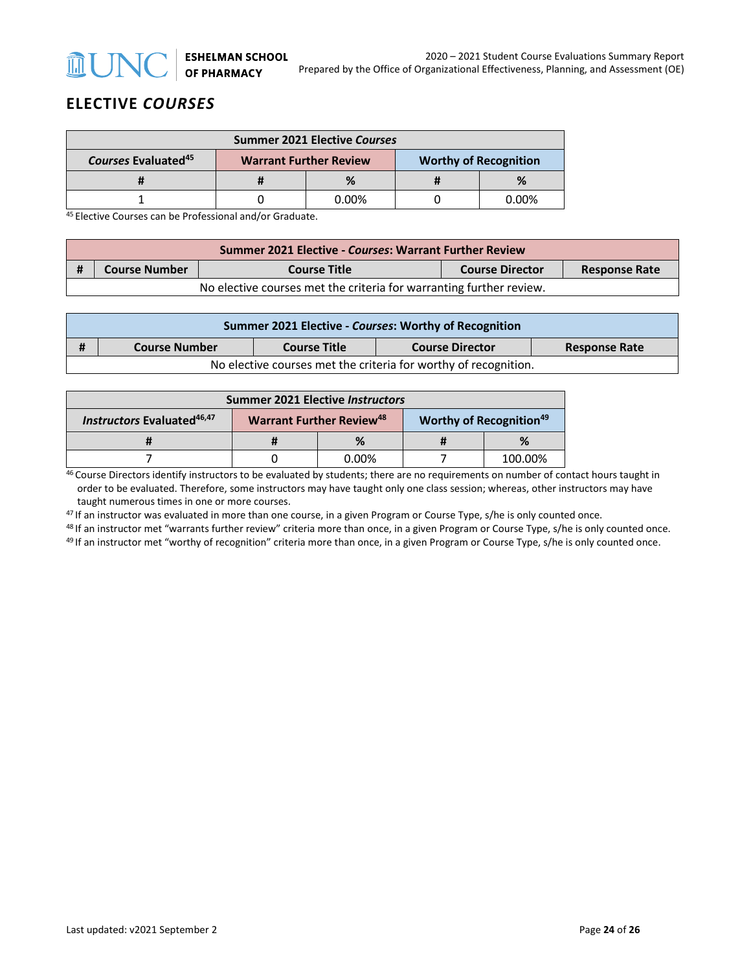

## **ELECTIVE** *COURSES*

| <b>Summer 2021 Elective Courses</b>                                                              |  |       |  |              |  |
|--------------------------------------------------------------------------------------------------|--|-------|--|--------------|--|
| Courses Evaluated <sup>45</sup><br><b>Worthy of Recognition</b><br><b>Warrant Further Review</b> |  |       |  |              |  |
|                                                                                                  |  |       |  |              |  |
|                                                                                                  |  | 0.00% |  | <u>በ በበ%</u> |  |

<sup>45</sup> Elective Courses can be Professional and/or Graduate.

|                                                                     | <b>Summer 2021 Elective - Courses: Warrant Further Review</b>                                 |  |  |  |  |  |  |
|---------------------------------------------------------------------|-----------------------------------------------------------------------------------------------|--|--|--|--|--|--|
|                                                                     | <b>Course Number</b><br><b>Course Director</b><br><b>Course Title</b><br><b>Response Rate</b> |  |  |  |  |  |  |
| No elective courses met the criteria for warranting further review. |                                                                                               |  |  |  |  |  |  |

|                                                                 | Summer 2021 Elective - Courses: Worthy of Recognition                                         |  |  |  |  |  |  |
|-----------------------------------------------------------------|-----------------------------------------------------------------------------------------------|--|--|--|--|--|--|
| #                                                               | <b>Course Title</b><br><b>Course Number</b><br><b>Course Director</b><br><b>Response Rate</b> |  |  |  |  |  |  |
| No elective courses met the criteria for worthy of recognition. |                                                                                               |  |  |  |  |  |  |

| <b>Summer 2021 Elective Instructors</b>                                                                                                    |  |       |  |         |  |
|--------------------------------------------------------------------------------------------------------------------------------------------|--|-------|--|---------|--|
| <b>Instructors Evaluated</b> <sup>46,47</sup><br><b>Warrant Further Review</b> <sup>48</sup><br><b>Worthy of Recognition</b> <sup>49</sup> |  |       |  |         |  |
|                                                                                                                                            |  | %     |  | %       |  |
|                                                                                                                                            |  | 0.00% |  | 100.00% |  |

46 Course Directors identify instructors to be evaluated by students; there are no requirements on number of contact hours taught in order to be evaluated. Therefore, some instructors may have taught only one class session; whereas, other instructors may have taught numerous times in one or more courses.

<sup>47</sup> If an instructor was evaluated in more than one course, in a given Program or Course Type, s/he is only counted once.

<sup>48</sup> If an instructor met "warrants further review" criteria more than once, in a given Program or Course Type, s/he is only counted once.<br><sup>49</sup> If an instructor met "worthy of recognition" criteria more than once, in a giv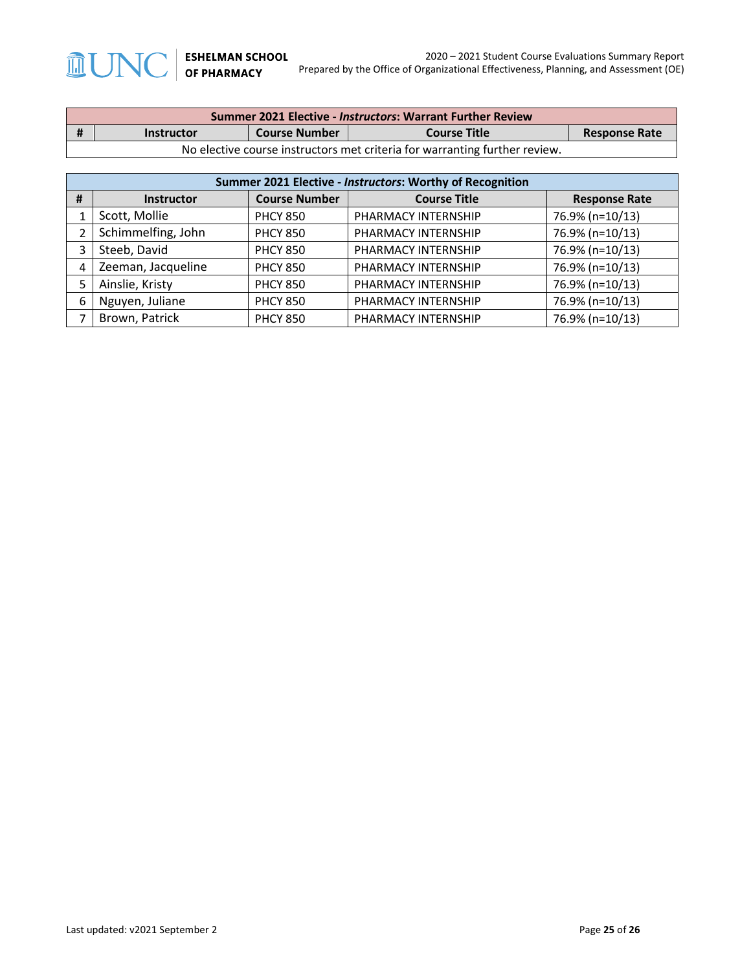| <b>Summer 2021 Elective - Instructors: Warrant Further Review</b> |                                                                                          |  |  |  |  |  |  |
|-------------------------------------------------------------------|------------------------------------------------------------------------------------------|--|--|--|--|--|--|
| - #                                                               | <b>Course Number</b><br><b>Course Title</b><br><b>Response Rate</b><br><b>Instructor</b> |  |  |  |  |  |  |
|                                                                   | No elective course instructors met criteria for warranting further review.               |  |  |  |  |  |  |

| Summer 2021 Elective - Instructors: Worthy of Recognition |                    |                      |                     |                      |  |  |
|-----------------------------------------------------------|--------------------|----------------------|---------------------|----------------------|--|--|
| #                                                         | <b>Instructor</b>  | <b>Course Number</b> | <b>Course Title</b> | <b>Response Rate</b> |  |  |
|                                                           | Scott, Mollie      | <b>PHCY 850</b>      | PHARMACY INTERNSHIP | 76.9% (n=10/13)      |  |  |
| າ                                                         | Schimmelfing, John | <b>PHCY 850</b>      | PHARMACY INTERNSHIP | 76.9% (n=10/13)      |  |  |
| 3                                                         | Steeb, David       | <b>PHCY 850</b>      | PHARMACY INTERNSHIP | 76.9% (n=10/13)      |  |  |
| 4                                                         | Zeeman, Jacqueline | <b>PHCY 850</b>      | PHARMACY INTERNSHIP | 76.9% (n=10/13)      |  |  |
|                                                           | Ainslie, Kristy    | <b>PHCY 850</b>      | PHARMACY INTERNSHIP | 76.9% (n=10/13)      |  |  |
| 6                                                         | Nguyen, Juliane    | <b>PHCY 850</b>      | PHARMACY INTERNSHIP | 76.9% (n=10/13)      |  |  |
|                                                           | Brown, Patrick     | <b>PHCY 850</b>      | PHARMACY INTERNSHIP | 76.9% (n=10/13)      |  |  |